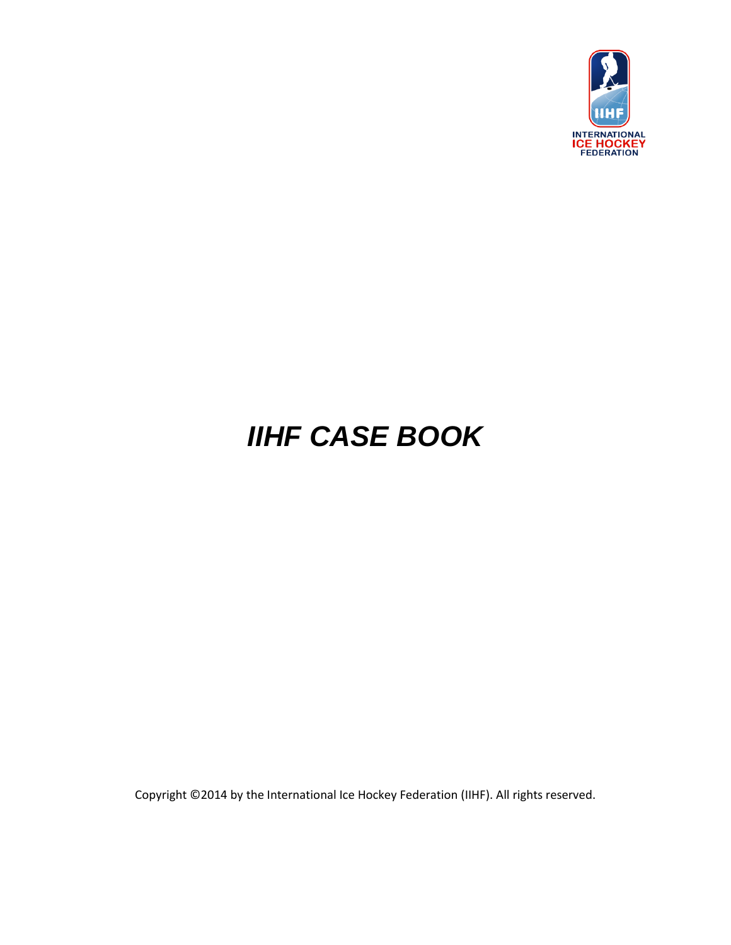

# *IIHF CASE BOOK*

Copyright ©2014 by the International Ice Hockey Federation (IIHF). All rights reserved.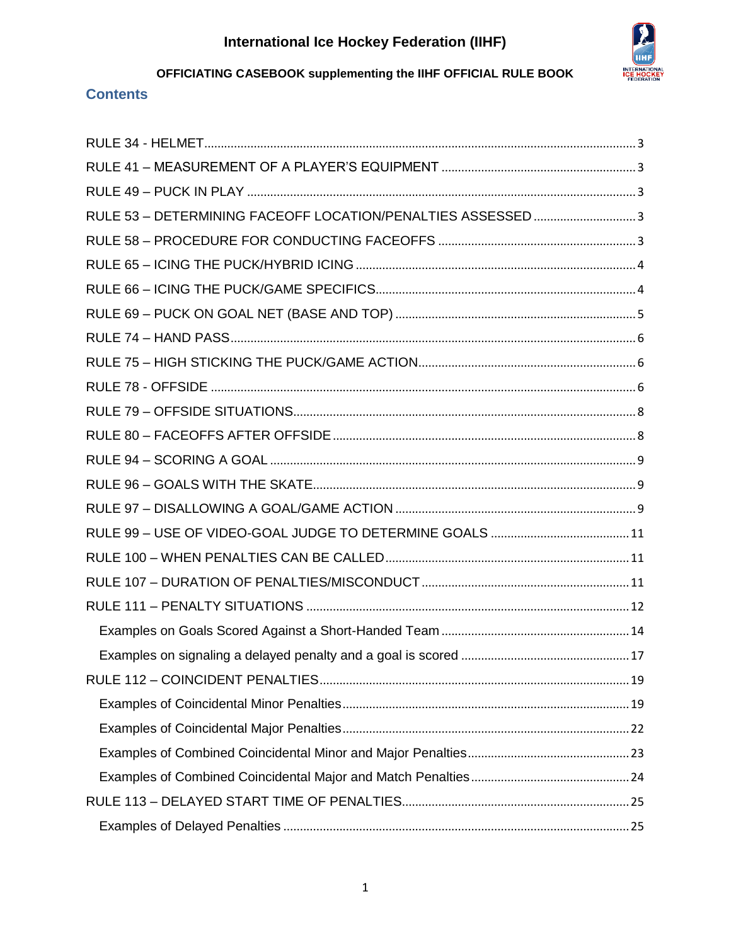

## **Contents**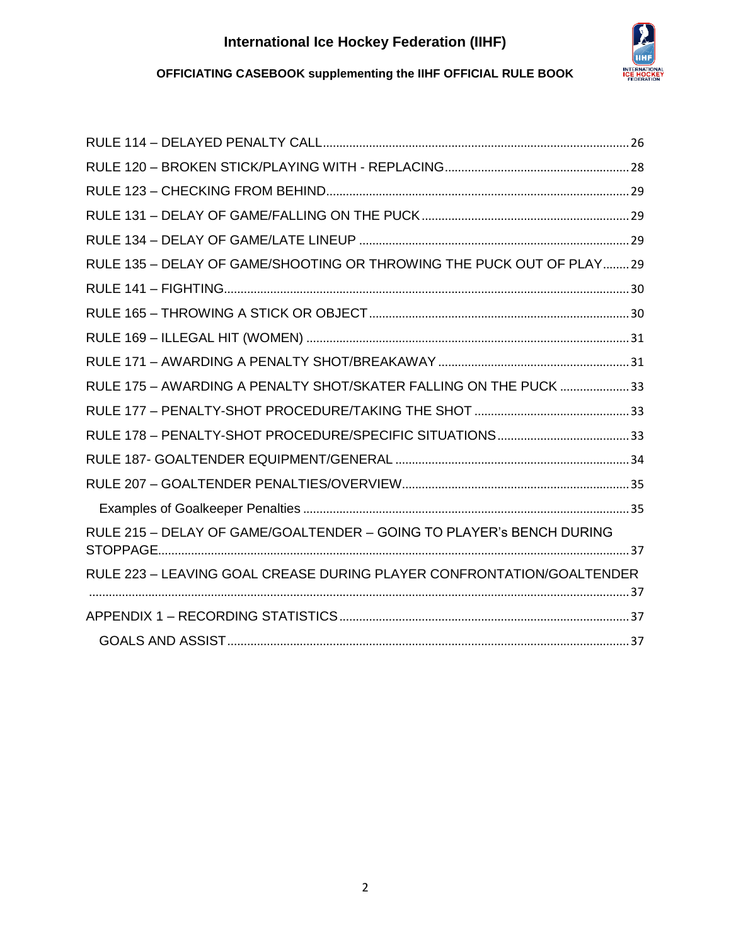

## **OFFICIATING CASEBOOK supplementing the IIHF OFFICIAL RULE BOOK**

| RULE 135 - DELAY OF GAME/SHOOTING OR THROWING THE PUCK OUT OF PLAY29  |  |
|-----------------------------------------------------------------------|--|
|                                                                       |  |
|                                                                       |  |
|                                                                       |  |
|                                                                       |  |
| RULE 175 - AWARDING A PENALTY SHOT/SKATER FALLING ON THE PUCK 33      |  |
|                                                                       |  |
|                                                                       |  |
|                                                                       |  |
|                                                                       |  |
|                                                                       |  |
| RULE 215 - DELAY OF GAME/GOALTENDER - GOING TO PLAYER's BENCH DURING  |  |
| RULE 223 - LEAVING GOAL CREASE DURING PLAYER CONFRONTATION/GOALTENDER |  |
|                                                                       |  |
|                                                                       |  |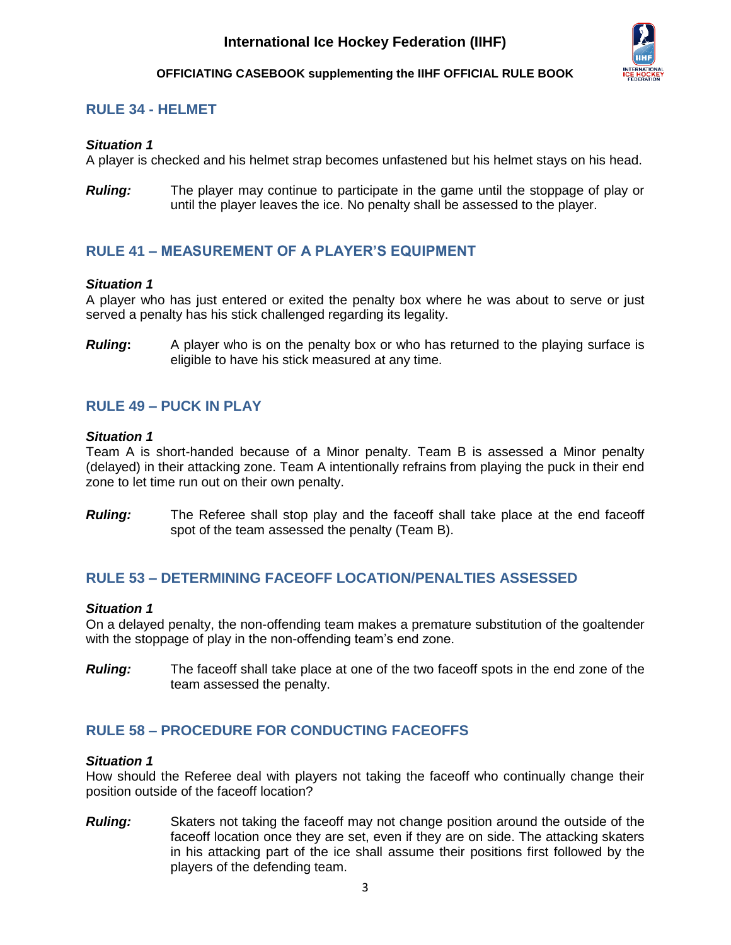

## <span id="page-3-0"></span>**RULE 34 - HELMET**

### *Situation 1*

A player is checked and his helmet strap becomes unfastened but his helmet stays on his head.

*Ruling:* The player may continue to participate in the game until the stoppage of play or until the player leaves the ice. No penalty shall be assessed to the player.

## <span id="page-3-1"></span>**RULE 41 – MEASUREMENT OF A PLAYER'S EQUIPMENT**

### *Situation 1*

A player who has just entered or exited the penalty box where he was about to serve or just served a penalty has his stick challenged regarding its legality.

**Ruling:** A player who is on the penalty box or who has returned to the playing surface is eligible to have his stick measured at any time.

## <span id="page-3-2"></span>**RULE 49 – PUCK IN PLAY**

### *Situation 1*

Team A is short-handed because of a Minor penalty. Team B is assessed a Minor penalty (delayed) in their attacking zone. Team A intentionally refrains from playing the puck in their end zone to let time run out on their own penalty.

*Ruling:* The Referee shall stop play and the faceoff shall take place at the end faceoff spot of the team assessed the penalty (Team B).

### <span id="page-3-3"></span>**RULE 53 – DETERMINING FACEOFF LOCATION/PENALTIES ASSESSED**

### *Situation 1*

On a delayed penalty, the non-offending team makes a premature substitution of the goaltender with the stoppage of play in the non-offending team's end zone.

*Ruling:* The faceoff shall take place at one of the two faceoff spots in the end zone of the team assessed the penalty.

## <span id="page-3-4"></span>**RULE 58 – PROCEDURE FOR CONDUCTING FACEOFFS**

### *Situation 1*

How should the Referee deal with players not taking the faceoff who continually change their position outside of the faceoff location?

*Ruling:* Skaters not taking the faceoff may not change position around the outside of the faceoff location once they are set, even if they are on side. The attacking skaters in his attacking part of the ice shall assume their positions first followed by the players of the defending team.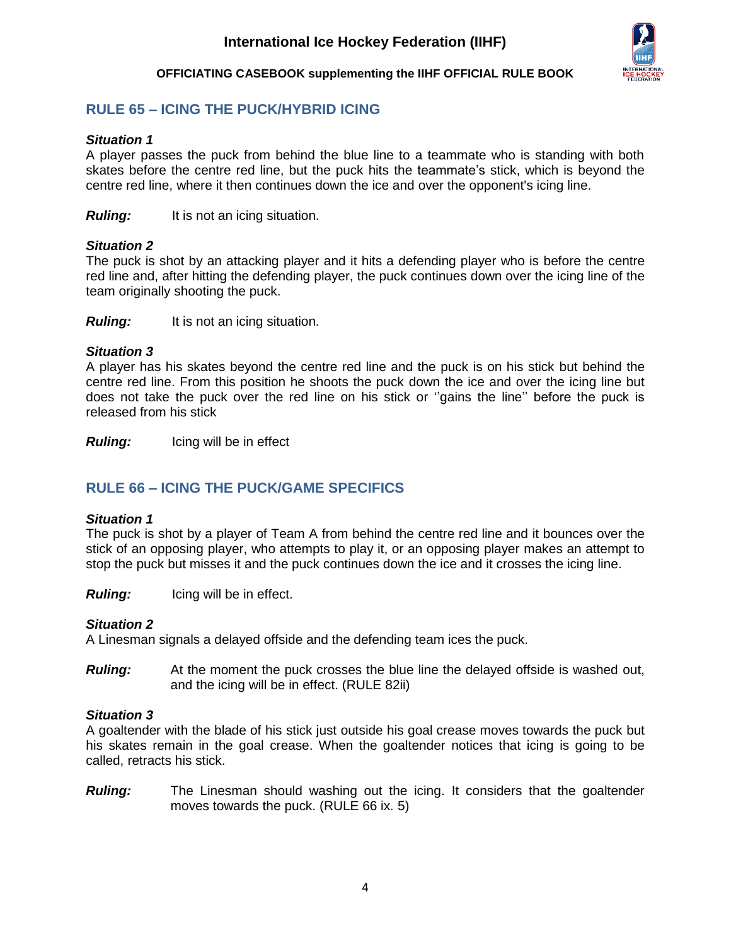

## <span id="page-4-0"></span>**RULE 65 – ICING THE PUCK/HYBRID ICING**

### *Situation 1*

A player passes the puck from behind the blue line to a teammate who is standing with both skates before the centre red line, but the puck hits the teammate's stick, which is beyond the centre red line, where it then continues down the ice and over the opponent's icing line.

*Ruling:* It is not an icing situation.

### *Situation 2*

The puck is shot by an attacking player and it hits a defending player who is before the centre red line and, after hitting the defending player, the puck continues down over the icing line of the team originally shooting the puck.

*Ruling:* It is not an icing situation.

### *Situation 3*

A player has his skates beyond the centre red line and the puck is on his stick but behind the centre red line. From this position he shoots the puck down the ice and over the icing line but does not take the puck over the red line on his stick or ''gains the line'' before the puck is released from his stick

*Ruling:* Icing will be in effect

## <span id="page-4-1"></span>**RULE 66 – ICING THE PUCK/GAME SPECIFICS**

### *Situation 1*

The puck is shot by a player of Team A from behind the centre red line and it bounces over the stick of an opposing player, who attempts to play it, or an opposing player makes an attempt to stop the puck but misses it and the puck continues down the ice and it crosses the icing line.

*Ruling:* Icing will be in effect.

### *Situation 2*

A Linesman signals a delayed offside and the defending team ices the puck.

*Ruling:* At the moment the puck crosses the blue line the delayed offside is washed out, and the icing will be in effect. (RULE 82ii)

### *Situation 3*

A goaltender with the blade of his stick just outside his goal crease moves towards the puck but his skates remain in the goal crease. When the goaltender notices that icing is going to be called, retracts his stick.

**Ruling:** The Linesman should washing out the icing. It considers that the goaltender moves towards the puck. (RULE 66 ix. 5)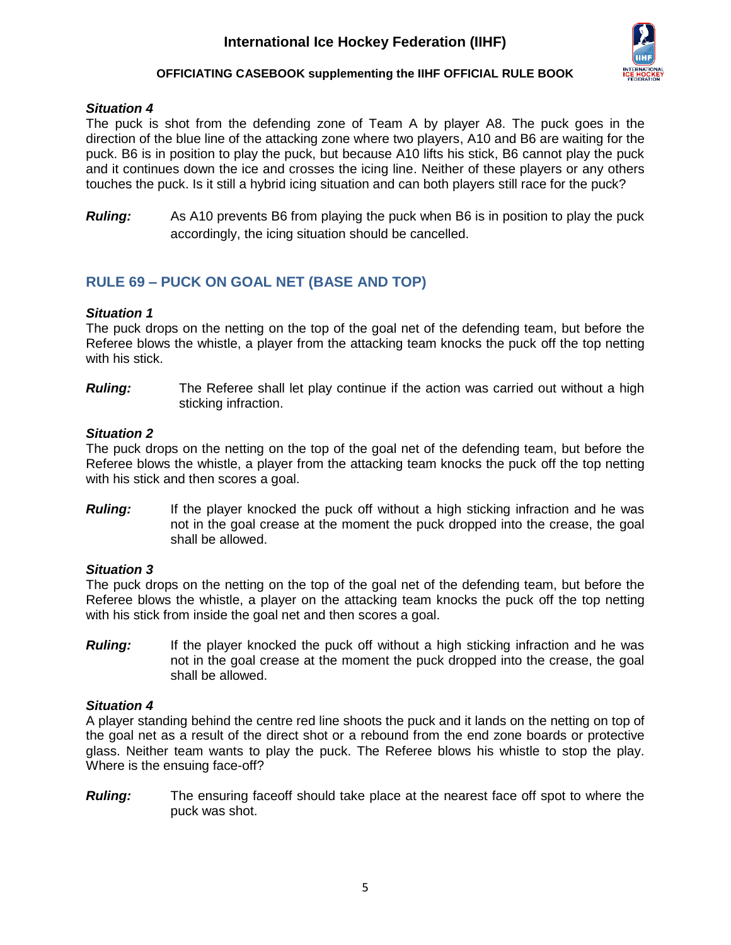

### **OFFICIATING CASEBOOK supplementing the IIHF OFFICIAL RULE BOOK**

### *Situation 4*

The puck is shot from the defending zone of Team A by player A8. The puck goes in the direction of the blue line of the attacking zone where two players, A10 and B6 are waiting for the puck. B6 is in position to play the puck, but because A10 lifts his stick, B6 cannot play the puck and it continues down the ice and crosses the icing line. Neither of these players or any others touches the puck. Is it still a hybrid icing situation and can both players still race for the puck?

*Ruling:* As A10 prevents B6 from playing the puck when B6 is in position to play the puck accordingly, the icing situation should be cancelled.

## <span id="page-5-0"></span>**RULE 69 – PUCK ON GOAL NET (BASE AND TOP)**

### *Situation 1*

The puck drops on the netting on the top of the goal net of the defending team, but before the Referee blows the whistle, a player from the attacking team knocks the puck off the top netting with his stick.

*Ruling:* The Referee shall let play continue if the action was carried out without a high sticking infraction.

### *Situation 2*

The puck drops on the netting on the top of the goal net of the defending team, but before the Referee blows the whistle, a player from the attacking team knocks the puck off the top netting with his stick and then scores a goal.

**Ruling:** If the player knocked the puck off without a high sticking infraction and he was not in the goal crease at the moment the puck dropped into the crease, the goal shall be allowed.

### *Situation 3*

The puck drops on the netting on the top of the goal net of the defending team, but before the Referee blows the whistle, a player on the attacking team knocks the puck off the top netting with his stick from inside the goal net and then scores a goal.

**Ruling:** If the player knocked the puck off without a high sticking infraction and he was not in the goal crease at the moment the puck dropped into the crease, the goal shall be allowed.

### *Situation 4*

A player standing behind the centre red line shoots the puck and it lands on the netting on top of the goal net as a result of the direct shot or a rebound from the end zone boards or protective glass. Neither team wants to play the puck. The Referee blows his whistle to stop the play. Where is the ensuing face-off?

*Ruling:* The ensuring faceoff should take place at the nearest face off spot to where the puck was shot.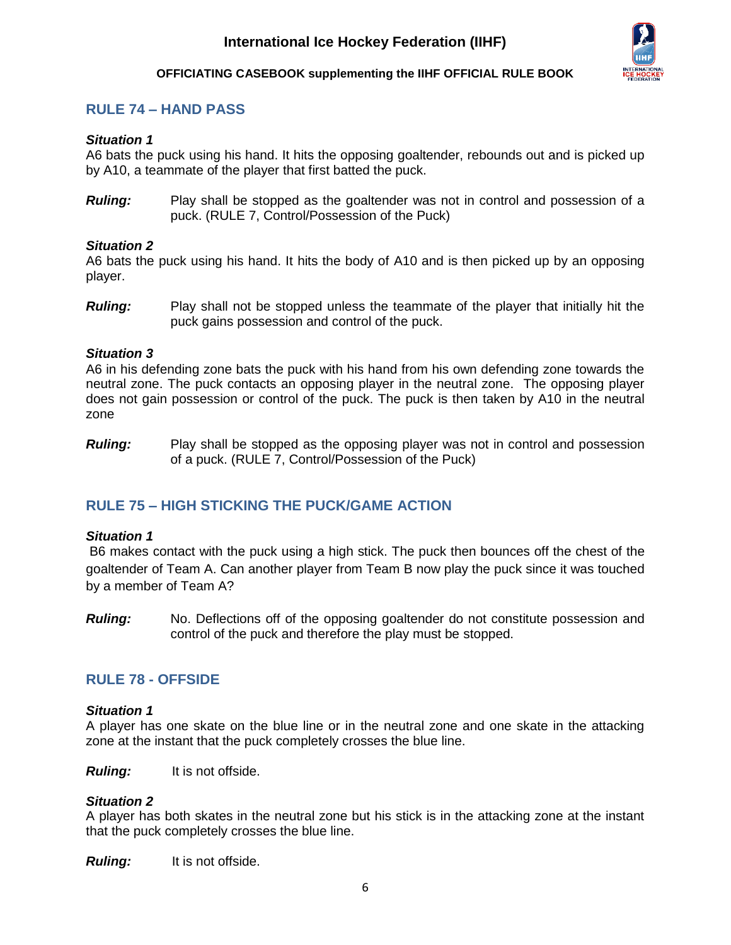

## <span id="page-6-0"></span>**RULE 74 – HAND PASS**

### *Situation 1*

A6 bats the puck using his hand. It hits the opposing goaltender, rebounds out and is picked up by A10, a teammate of the player that first batted the puck.

*Ruling:* Play shall be stopped as the goaltender was not in control and possession of a puck. (RULE 7, Control/Possession of the Puck)

### *Situation 2*

A6 bats the puck using his hand. It hits the body of A10 and is then picked up by an opposing player.

*Ruling:* Play shall not be stopped unless the teammate of the player that initially hit the puck gains possession and control of the puck.

### *Situation 3*

A6 in his defending zone bats the puck with his hand from his own defending zone towards the neutral zone. The puck contacts an opposing player in the neutral zone. The opposing player does not gain possession or control of the puck. The puck is then taken by A10 in the neutral zone

*Ruling:* Play shall be stopped as the opposing player was not in control and possession of a puck. (RULE 7, Control/Possession of the Puck)

## <span id="page-6-1"></span>**RULE 75 – HIGH STICKING THE PUCK/GAME ACTION**

### *Situation 1*

B6 makes contact with the puck using a high stick. The puck then bounces off the chest of the goaltender of Team A. Can another player from Team B now play the puck since it was touched by a member of Team A?

*Ruling:* No. Deflections off of the opposing goaltender do not constitute possession and control of the puck and therefore the play must be stopped.

### <span id="page-6-2"></span>**RULE 78 - OFFSIDE**

### *Situation 1*

A player has one skate on the blue line or in the neutral zone and one skate in the attacking zone at the instant that the puck completely crosses the blue line.

*Ruling:* It is not offside.

### *Situation 2*

A player has both skates in the neutral zone but his stick is in the attacking zone at the instant that the puck completely crosses the blue line.

**Ruling:** It is not offside.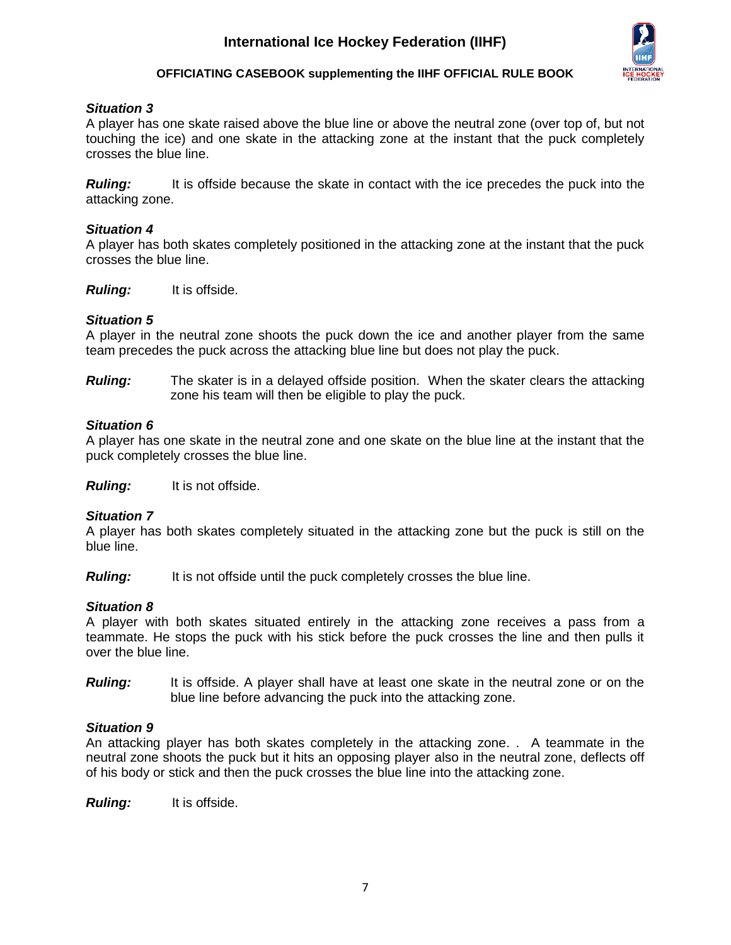

### *Situation 3*

A player has one skate raised above the blue line or above the neutral zone (over top of, but not touching the ice) and one skate in the attacking zone at the instant that the puck completely crosses the blue line.

**Ruling:** It is offside because the skate in contact with the ice precedes the puck into the attacking zone.

### *Situation 4*

A player has both skates completely positioned in the attacking zone at the instant that the puck crosses the blue line.

*Ruling:* It is offside.

### *Situation 5*

A player in the neutral zone shoots the puck down the ice and another player from the same team precedes the puck across the attacking blue line but does not play the puck.

*Ruling:* The skater is in a delayed offside position. When the skater clears the attacking zone his team will then be eligible to play the puck.

### *Situation 6*

A player has one skate in the neutral zone and one skate on the blue line at the instant that the puck completely crosses the blue line.

*Ruling:* It is not offside.

### *Situation 7*

A player has both skates completely situated in the attacking zone but the puck is still on the blue line.

*Ruling:* It is not offside until the puck completely crosses the blue line.

### *Situation 8*

A player with both skates situated entirely in the attacking zone receives a pass from a teammate. He stops the puck with his stick before the puck crosses the line and then pulls it over the blue line.

**Ruling:** It is offside. A player shall have at least one skate in the neutral zone or on the blue line before advancing the puck into the attacking zone.

### *Situation 9*

An attacking player has both skates completely in the attacking zone. . A teammate in the neutral zone shoots the puck but it hits an opposing player also in the neutral zone, deflects off of his body or stick and then the puck crosses the blue line into the attacking zone.

*Ruling:* It is offside.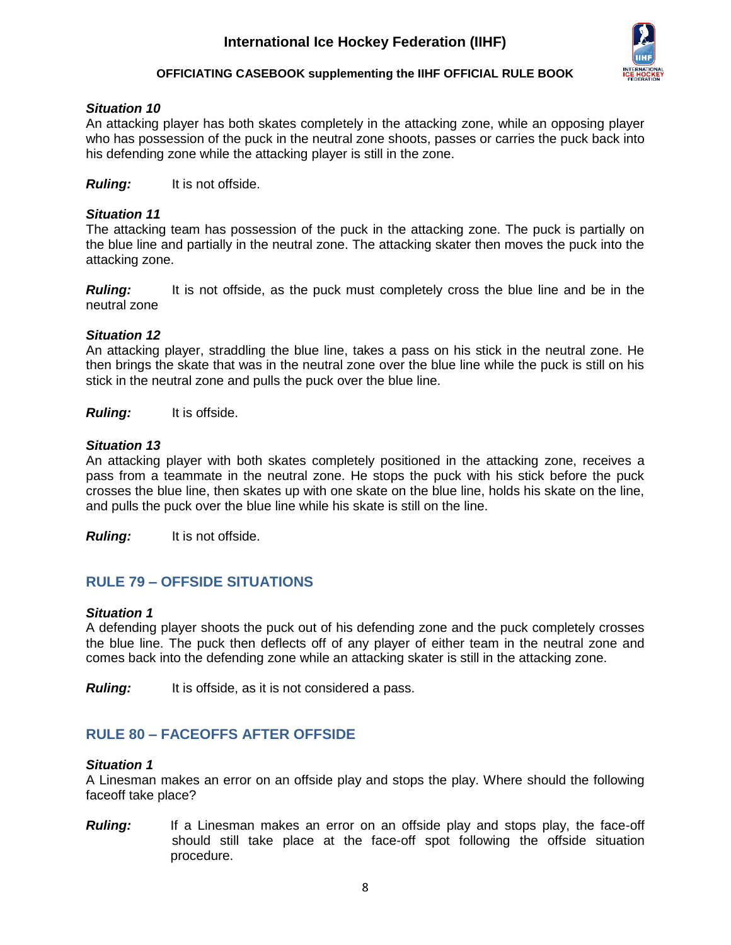

### *Situation 10*

An attacking player has both skates completely in the attacking zone, while an opposing player who has possession of the puck in the neutral zone shoots, passes or carries the puck back into his defending zone while the attacking player is still in the zone.

*Ruling:* It is not offside.

### *Situation 11*

The attacking team has possession of the puck in the attacking zone. The puck is partially on the blue line and partially in the neutral zone. The attacking skater then moves the puck into the attacking zone.

**Ruling:** It is not offside, as the puck must completely cross the blue line and be in the neutral zone

### *Situation 12*

An attacking player, straddling the blue line, takes a pass on his stick in the neutral zone. He then brings the skate that was in the neutral zone over the blue line while the puck is still on his stick in the neutral zone and pulls the puck over the blue line.

*Ruling:* It is offside.

### *Situation 13*

An attacking player with both skates completely positioned in the attacking zone, receives a pass from a teammate in the neutral zone. He stops the puck with his stick before the puck crosses the blue line, then skates up with one skate on the blue line, holds his skate on the line, and pulls the puck over the blue line while his skate is still on the line.

*Ruling:* It is not offside.

## <span id="page-8-0"></span>**RULE 79 – OFFSIDE SITUATIONS**

### *Situation 1*

A defending player shoots the puck out of his defending zone and the puck completely crosses the blue line. The puck then deflects off of any player of either team in the neutral zone and comes back into the defending zone while an attacking skater is still in the attacking zone.

*Ruling:* It is offside, as it is not considered a pass.

### <span id="page-8-1"></span>**RULE 80 – FACEOFFS AFTER OFFSIDE**

### *Situation 1*

A Linesman makes an error on an offside play and stops the play. Where should the following faceoff take place?

**Ruling:** If a Linesman makes an error on an offside play and stops play, the face-off should still take place at the face-off spot following the offside situation procedure.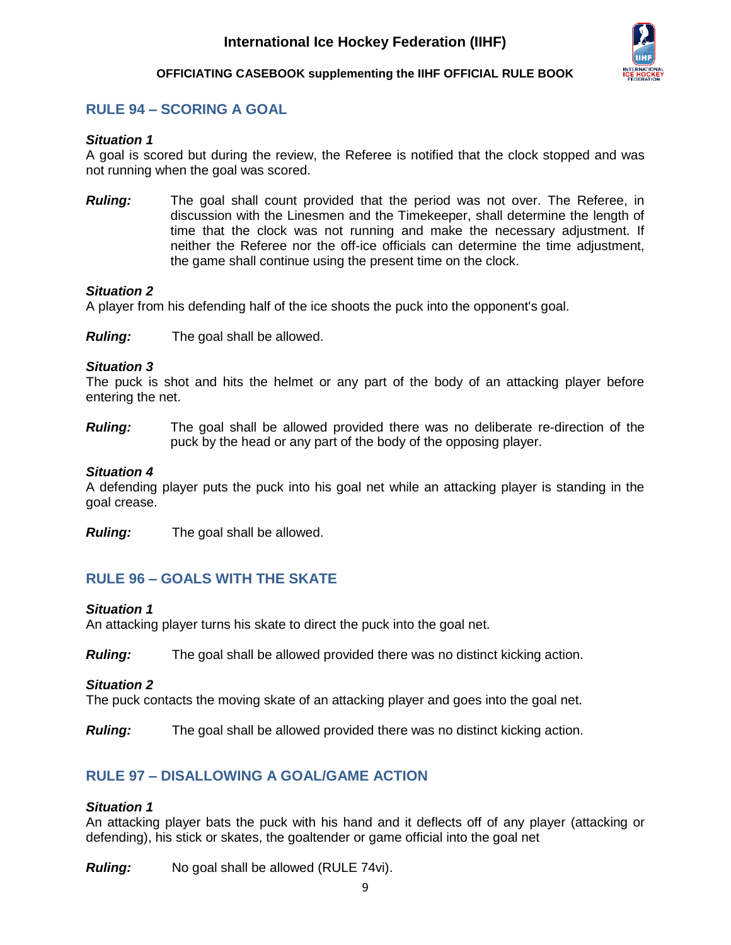

## <span id="page-9-0"></span>**RULE 94 – SCORING A GOAL**

### *Situation 1*

A goal is scored but during the review, the Referee is notified that the clock stopped and was not running when the goal was scored.

*Ruling:* The goal shall count provided that the period was not over. The Referee, in discussion with the Linesmen and the Timekeeper, shall determine the length of time that the clock was not running and make the necessary adjustment. If neither the Referee nor the off-ice officials can determine the time adjustment, the game shall continue using the present time on the clock.

### *Situation 2*

A player from his defending half of the ice shoots the puck into the opponent's goal.

*Ruling:* The goal shall be allowed.

### *Situation 3*

The puck is shot and hits the helmet or any part of the body of an attacking player before entering the net.

*Ruling:* The goal shall be allowed provided there was no deliberate re-direction of the puck by the head or any part of the body of the opposing player.

### *Situation 4*

A defending player puts the puck into his goal net while an attacking player is standing in the goal crease.

*Ruling:* The goal shall be allowed.

## <span id="page-9-1"></span>**RULE 96 – GOALS WITH THE SKATE**

### *Situation 1*

An attacking player turns his skate to direct the puck into the goal net.

*Ruling:* The goal shall be allowed provided there was no distinct kicking action.

### *Situation 2*

The puck contacts the moving skate of an attacking player and goes into the goal net.

*Ruling:* The goal shall be allowed provided there was no distinct kicking action.

### <span id="page-9-2"></span>**RULE 97 – DISALLOWING A GOAL/GAME ACTION**

### *Situation 1*

An attacking player bats the puck with his hand and it deflects off of any player (attacking or defending), his stick or skates, the goaltender or game official into the goal net

*Ruling:* No goal shall be allowed (RULE 74vi).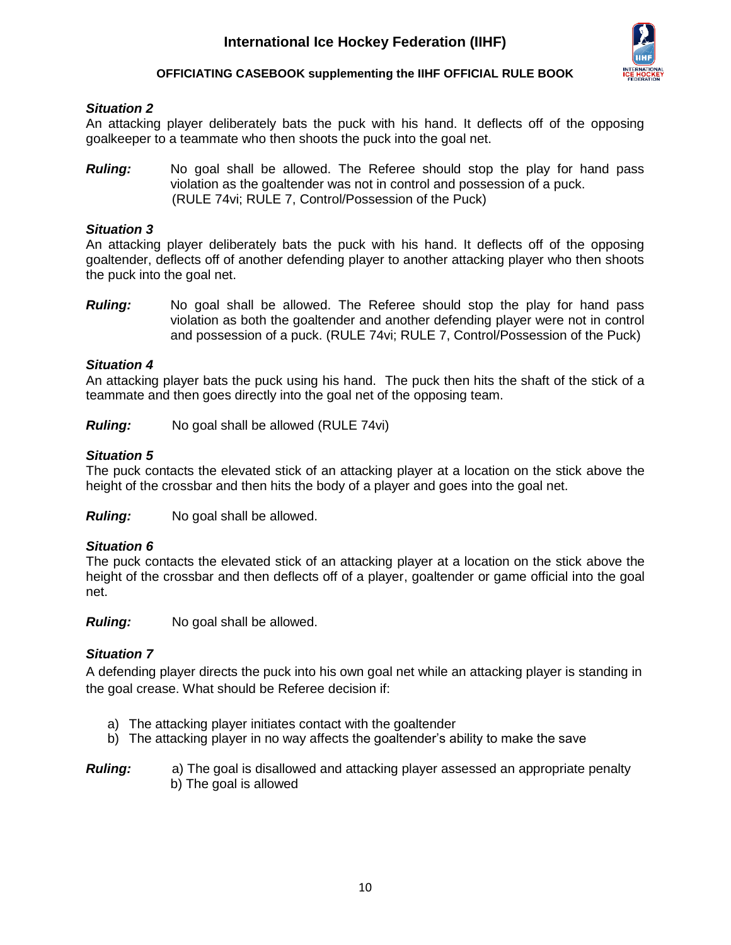

### *Situation 2*

An attacking player deliberately bats the puck with his hand. It deflects off of the opposing goalkeeper to a teammate who then shoots the puck into the goal net.

*Ruling:* No goal shall be allowed. The Referee should stop the play for hand pass violation as the goaltender was not in control and possession of a puck. (RULE 74vi; RULE 7, Control/Possession of the Puck)

### *Situation 3*

An attacking player deliberately bats the puck with his hand. It deflects off of the opposing goaltender, deflects off of another defending player to another attacking player who then shoots the puck into the goal net.

*Ruling:* No goal shall be allowed. The Referee should stop the play for hand pass violation as both the goaltender and another defending player were not in control and possession of a puck. (RULE 74vi; RULE 7, Control/Possession of the Puck)

### *Situation 4*

An attacking player bats the puck using his hand. The puck then hits the shaft of the stick of a teammate and then goes directly into the goal net of the opposing team.

*Ruling:* No goal shall be allowed (RULE 74vi)

### *Situation 5*

The puck contacts the elevated stick of an attacking player at a location on the stick above the height of the crossbar and then hits the body of a player and goes into the goal net.

*Ruling:* No goal shall be allowed.

### *Situation 6*

The puck contacts the elevated stick of an attacking player at a location on the stick above the height of the crossbar and then deflects off of a player, goaltender or game official into the goal net.

*Ruling:* No goal shall be allowed.

### *Situation 7*

A defending player directs the puck into his own goal net while an attacking player is standing in the goal crease. What should be Referee decision if:

- a) The attacking player initiates contact with the goaltender
- b) The attacking player in no way affects the goaltender's ability to make the save

*Ruling:* a) The goal is disallowed and attacking player assessed an appropriate penalty b) The goal is allowed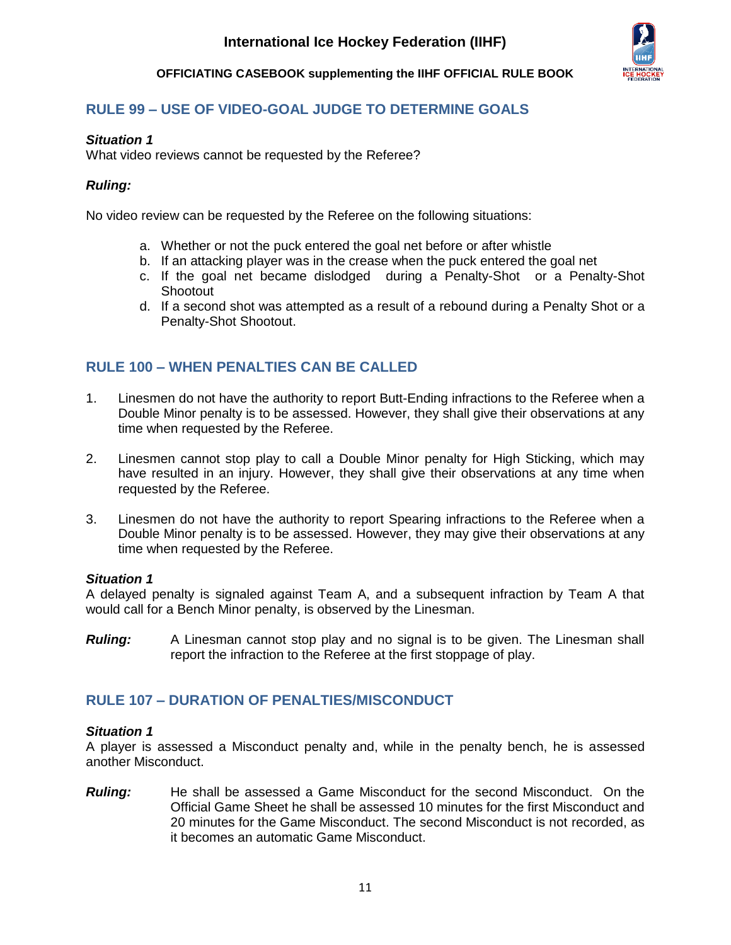

## <span id="page-11-0"></span>**RULE 99 – USE OF VIDEO-GOAL JUDGE TO DETERMINE GOALS**

### *Situation 1*

What video reviews cannot be requested by the Referee?

### *Ruling:*

No video review can be requested by the Referee on the following situations:

- a. Whether or not the puck entered the goal net before or after whistle
- b. If an attacking player was in the crease when the puck entered the goal net
- c. If the goal net became dislodged during a Penalty-Shot or a Penalty-Shot **Shootout**
- d. If a second shot was attempted as a result of a rebound during a Penalty Shot or a Penalty-Shot Shootout.

## <span id="page-11-1"></span>**RULE 100 – WHEN PENALTIES CAN BE CALLED**

- 1. Linesmen do not have the authority to report Butt-Ending infractions to the Referee when a Double Minor penalty is to be assessed. However, they shall give their observations at any time when requested by the Referee.
- 2. Linesmen cannot stop play to call a Double Minor penalty for High Sticking, which may have resulted in an injury. However, they shall give their observations at any time when requested by the Referee.
- 3. Linesmen do not have the authority to report Spearing infractions to the Referee when a Double Minor penalty is to be assessed. However, they may give their observations at any time when requested by the Referee.

### *Situation 1*

A delayed penalty is signaled against Team A, and a subsequent infraction by Team A that would call for a Bench Minor penalty, is observed by the Linesman.

**Ruling:** A Linesman cannot stop play and no signal is to be given. The Linesman shall report the infraction to the Referee at the first stoppage of play.

### <span id="page-11-2"></span>**RULE 107 – DURATION OF PENALTIES/MISCONDUCT**

### *Situation 1*

A player is assessed a Misconduct penalty and, while in the penalty bench, he is assessed another Misconduct.

*Ruling:* He shall be assessed a Game Misconduct for the second Misconduct. On the Official Game Sheet he shall be assessed 10 minutes for the first Misconduct and 20 minutes for the Game Misconduct. The second Misconduct is not recorded, as it becomes an automatic Game Misconduct.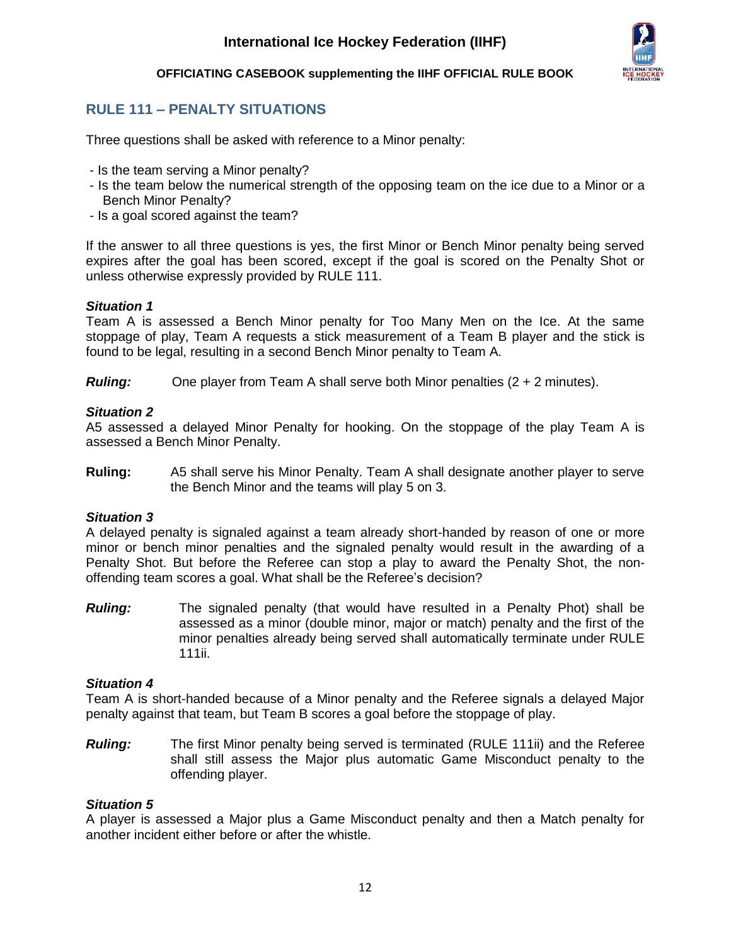

## <span id="page-12-0"></span>**RULE 111 – PENALTY SITUATIONS**

Three questions shall be asked with reference to a Minor penalty:

- Is the team serving a Minor penalty?
- Is the team below the numerical strength of the opposing team on the ice due to a Minor or a Bench Minor Penalty?
- Is a goal scored against the team?

If the answer to all three questions is yes, the first Minor or Bench Minor penalty being served expires after the goal has been scored, except if the goal is scored on the Penalty Shot or unless otherwise expressly provided by RULE 111.

### *Situation 1*

Team A is assessed a Bench Minor penalty for Too Many Men on the Ice. At the same stoppage of play, Team A requests a stick measurement of a Team B player and the stick is found to be legal, resulting in a second Bench Minor penalty to Team A.

*Ruling:* One player from Team A shall serve both Minor penalties (2 + 2 minutes).

### *Situation 2*

A5 assessed a delayed Minor Penalty for hooking. On the stoppage of the play Team A is assessed a Bench Minor Penalty.

**Ruling:** A5 shall serve his Minor Penalty. Team A shall designate another player to serve the Bench Minor and the teams will play 5 on 3.

### *Situation 3*

A delayed penalty is signaled against a team already short-handed by reason of one or more minor or bench minor penalties and the signaled penalty would result in the awarding of a Penalty Shot. But before the Referee can stop a play to award the Penalty Shot, the nonoffending team scores a goal. What shall be the Referee's decision?

*Ruling:* The signaled penalty (that would have resulted in a Penalty Phot) shall be assessed as a minor (double minor, major or match) penalty and the first of the minor penalties already being served shall automatically terminate under RULE 111ii.

### *Situation 4*

Team A is short-handed because of a Minor penalty and the Referee signals a delayed Major penalty against that team, but Team B scores a goal before the stoppage of play.

*Ruling:* The first Minor penalty being served is terminated (RULE 111ii) and the Referee shall still assess the Major plus automatic Game Misconduct penalty to the offending player.

### *Situation 5*

A player is assessed a Major plus a Game Misconduct penalty and then a Match penalty for another incident either before or after the whistle.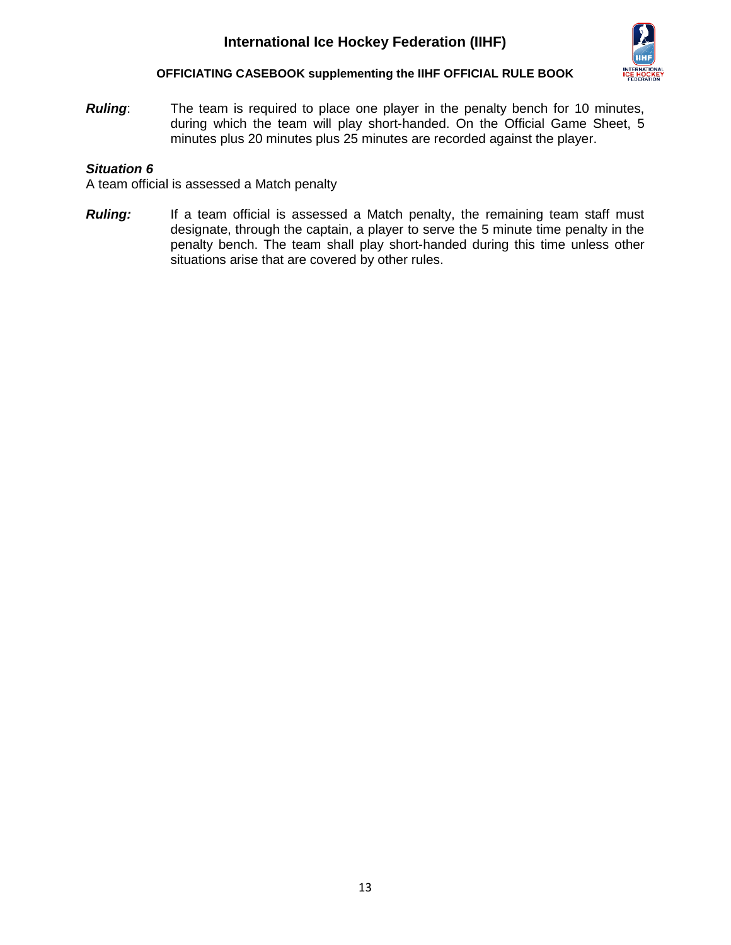

*Ruling*: The team is required to place one player in the penalty bench for 10 minutes, during which the team will play short-handed. On the Official Game Sheet, 5 minutes plus 20 minutes plus 25 minutes are recorded against the player.

### *Situation 6*

A team official is assessed a Match penalty

**Ruling:** If a team official is assessed a Match penalty, the remaining team staff must designate, through the captain, a player to serve the 5 minute time penalty in the penalty bench. The team shall play short-handed during this time unless other situations arise that are covered by other rules.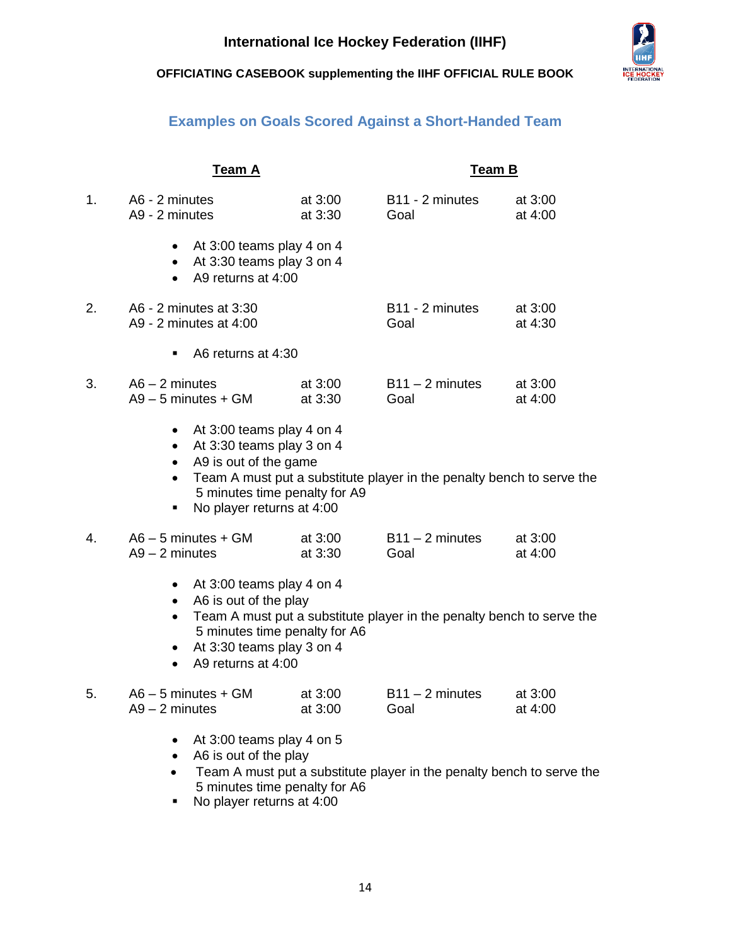

## **Examples on Goals Scored Against a Short-Handed Team**

<span id="page-14-0"></span>

|    | Team A                                                                                                                                                                                                 |                    | Team B                                                                |                      |
|----|--------------------------------------------------------------------------------------------------------------------------------------------------------------------------------------------------------|--------------------|-----------------------------------------------------------------------|----------------------|
| 1. | A6 - 2 minutes<br>A9 - 2 minutes                                                                                                                                                                       | at 3:00<br>at 3:30 | B11 - 2 minutes<br>Goal                                               | at 3:00<br>at 4:00   |
|    | At 3:00 teams play 4 on 4<br>$\bullet$<br>At 3:30 teams play 3 on 4<br>$\bullet$<br>A9 returns at 4:00                                                                                                 |                    |                                                                       |                      |
| 2. | A6 - 2 minutes at 3:30<br>A9 - 2 minutes at 4:00                                                                                                                                                       |                    | B11 - 2 minutes<br>Goal                                               | at 3:00<br>at 4:30   |
|    | A6 returns at 4:30<br>٠                                                                                                                                                                                |                    |                                                                       |                      |
| 3. | $A6 - 2$ minutes<br>$A9 - 5$ minutes + GM                                                                                                                                                              | at 3:00<br>at 3:30 | $B11 - 2$ minutes<br>Goal                                             | at $3:00$<br>at 4:00 |
|    | At 3:00 teams play 4 on 4<br>$\bullet$<br>At 3:30 teams play 3 on 4<br>$\bullet$<br>A9 is out of the game<br>$\bullet$<br>$\bullet$<br>5 minutes time penalty for A9<br>No player returns at 4:00<br>٠ |                    | Team A must put a substitute player in the penalty bench to serve the |                      |
| 4. | $AG - 5$ minutes + GM<br>$A9 - 2$ minutes                                                                                                                                                              | at 3:00<br>at 3:30 | $B11 - 2$ minutes<br>Goal                                             | at 3:00<br>at 4:00   |
|    | At 3:00 teams play 4 on 4<br>$\bullet$<br>A6 is out of the play<br>$\bullet$<br>5 minutes time penalty for A6<br>At 3:30 teams play 3 on 4<br>A9 returns at 4:00<br>$\bullet$                          |                    | Team A must put a substitute player in the penalty bench to serve the |                      |
| 5. | $AG - 5$ minutes + GM<br>$A9 - 2$ minutes                                                                                                                                                              | at 3:00<br>at 3:00 | $B11 - 2$ minutes<br>Goal                                             | at 3:00<br>at 4:00   |
|    | At 3:00 teams play 4 on 5<br>$\bullet$<br>A6 is out of the play<br>$\bullet$<br>$\bullet$                                                                                                              |                    | Team A must put a substitute player in the penalty bench to serve the |                      |

- 5 minutes time penalty for A6
- No player returns at 4:00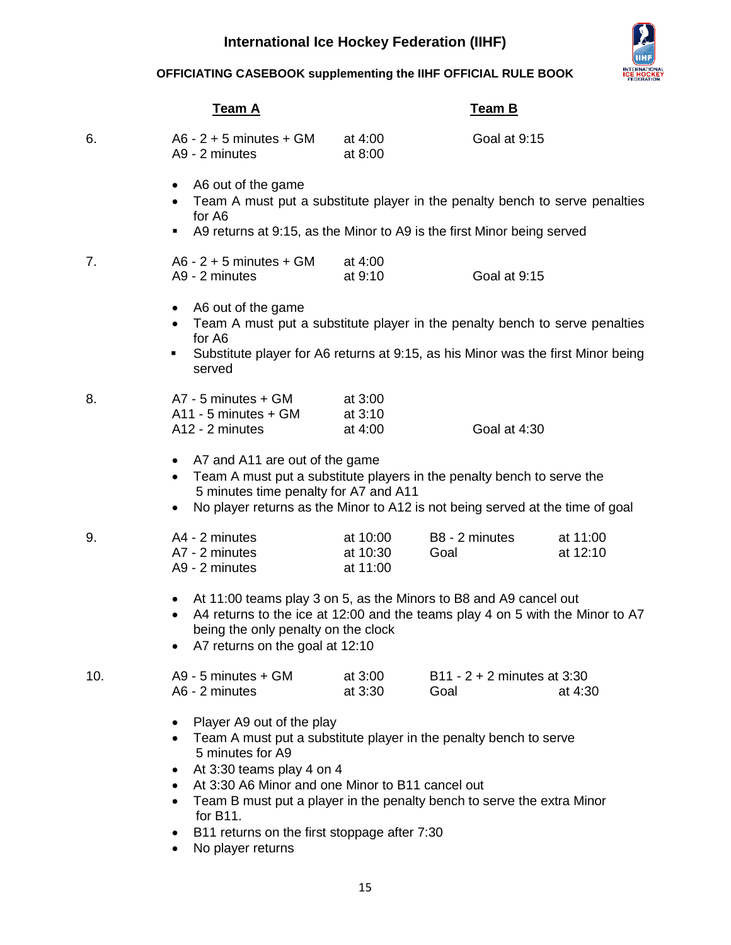

## **OFFICIATING CASEBOOK supplementing the IIHF OFFICIAL RULE BOOK**

|     | <u>Team A</u>                                                                                                                                                                                                                                                                                                                                                                    |                                          | <b>Team B</b>                 |                      |
|-----|----------------------------------------------------------------------------------------------------------------------------------------------------------------------------------------------------------------------------------------------------------------------------------------------------------------------------------------------------------------------------------|------------------------------------------|-------------------------------|----------------------|
| 6.  | $A6 - 2 + 5$ minutes + GM<br>A9 - 2 minutes                                                                                                                                                                                                                                                                                                                                      | at 4:00<br>at 8:00                       | Goal at 9:15                  |                      |
|     | A6 out of the game<br>$\bullet$<br>Team A must put a substitute player in the penalty bench to serve penalties<br>for A6<br>A9 returns at 9:15, as the Minor to A9 is the first Minor being served<br>٠                                                                                                                                                                          |                                          |                               |                      |
| 7.  | $A6 - 2 + 5$ minutes + GM<br>A9 - 2 minutes                                                                                                                                                                                                                                                                                                                                      | at 4:00<br>at 9:10                       | Goal at 9:15                  |                      |
|     | A6 out of the game<br>$\bullet$<br>Team A must put a substitute player in the penalty bench to serve penalties<br>for A6<br>Substitute player for A6 returns at 9:15, as his Minor was the first Minor being<br>٠<br>served                                                                                                                                                      |                                          |                               |                      |
| 8.  | A7 - 5 minutes + GM<br>A11 - 5 minutes + GM<br>A12 - 2 minutes                                                                                                                                                                                                                                                                                                                   | at 3:00<br>at 3:10<br>at 4:00            | Goal at 4:30                  |                      |
|     | A7 and A11 are out of the game<br>Team A must put a substitute players in the penalty bench to serve the<br>$\bullet$<br>5 minutes time penalty for A7 and A11<br>No player returns as the Minor to A12 is not being served at the time of goal<br>٠                                                                                                                             |                                          |                               |                      |
| 9.  | A4 - 2 minutes<br>A7 - 2 minutes<br>A9 - 2 minutes                                                                                                                                                                                                                                                                                                                               | at 10:00<br>at 10:30<br>Goal<br>at 11:00 | B8 - 2 minutes                | at 11:00<br>at 12:10 |
|     | At 11:00 teams play 3 on 5, as the Minors to B8 and A9 cancel out<br>٠<br>A4 returns to the ice at 12:00 and the teams play 4 on 5 with the Minor to A7<br>being the only penalty on the clock<br>A7 returns on the goal at 12:10                                                                                                                                                |                                          |                               |                      |
| 10. | A9 - 5 minutes + GM<br>A6 - 2 minutes                                                                                                                                                                                                                                                                                                                                            | at 3:00<br>at 3:30<br>Goal               | $B11 - 2 + 2$ minutes at 3:30 | at 4:30              |
|     | Player A9 out of the play<br>Team A must put a substitute player in the penalty bench to serve<br>5 minutes for A9<br>At 3:30 teams play 4 on 4<br>٠<br>At 3:30 A6 Minor and one Minor to B11 cancel out<br>$\bullet$<br>Team B must put a player in the penalty bench to serve the extra Minor<br>for B11.<br>B11 returns on the first stoppage after 7:30<br>No player returns |                                          |                               |                      |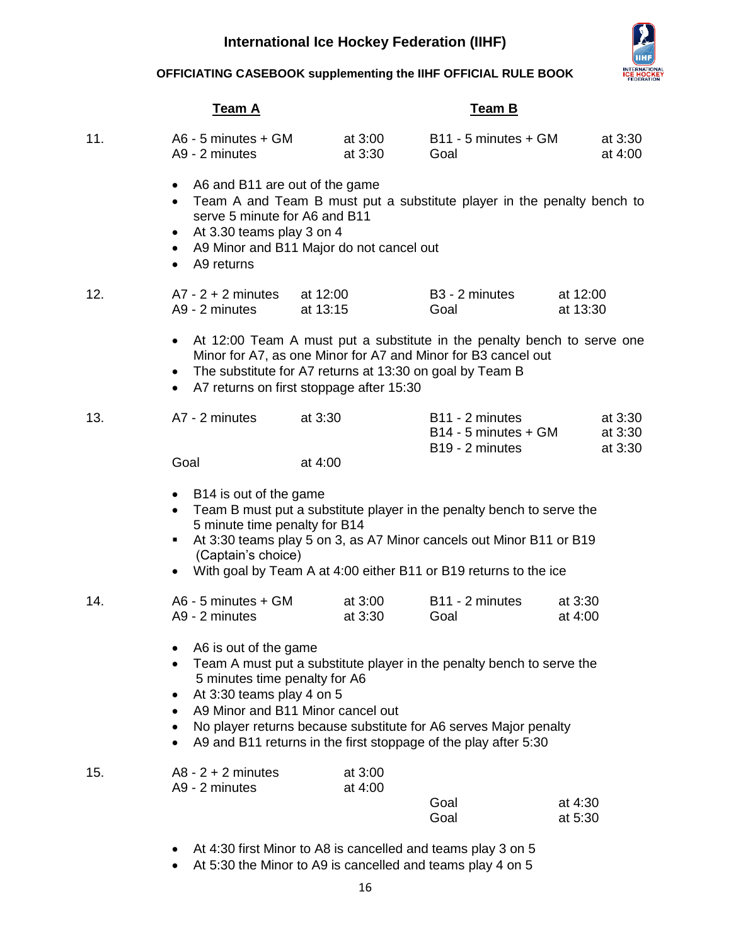

**OFFICIATING CASEBOOK supplementing the IIHF OFFICIAL RULE BOOK**

|     |                                                                    | <b>Team A</b>                                                                                                                                                                                                                                                                                                                            |                      |                    |                        | <b>Team B</b>                                                                        |                      |                               |
|-----|--------------------------------------------------------------------|------------------------------------------------------------------------------------------------------------------------------------------------------------------------------------------------------------------------------------------------------------------------------------------------------------------------------------------|----------------------|--------------------|------------------------|--------------------------------------------------------------------------------------|----------------------|-------------------------------|
| 11. |                                                                    | A6 - 5 minutes + GM<br>A9 - 2 minutes                                                                                                                                                                                                                                                                                                    |                      | at 3:00<br>at 3:30 | Goal                   | $B11 - 5$ minutes + GM                                                               |                      | at 3:30<br>at 4:00            |
|     | $\bullet$<br>$\bullet$<br>$\bullet$<br>$\bullet$<br>$\bullet$      | A6 and B11 are out of the game<br>Team A and Team B must put a substitute player in the penalty bench to<br>serve 5 minute for A6 and B11<br>At 3.30 teams play 3 on 4<br>A9 Minor and B11 Major do not cancel out<br>A9 returns                                                                                                         |                      |                    |                        |                                                                                      |                      |                               |
| 12. |                                                                    | $A7 - 2 + 2$ minutes<br>A9 - 2 minutes                                                                                                                                                                                                                                                                                                   | at 12:00<br>at 13:15 |                    | B3 - 2 minutes<br>Goal |                                                                                      | at 12:00<br>at 13:30 |                               |
|     | $\bullet$<br>$\bullet$<br>$\bullet$                                | At 12:00 Team A must put a substitute in the penalty bench to serve one<br>Minor for A7, as one Minor for A7 and Minor for B3 cancel out<br>The substitute for A7 returns at 13:30 on goal by Team B<br>A7 returns on first stoppage after 15:30                                                                                         |                      |                    |                        |                                                                                      |                      |                               |
| 13. |                                                                    | A7 - 2 minutes                                                                                                                                                                                                                                                                                                                           | at 3:30              |                    |                        | B <sub>11</sub> - 2 minutes<br>$B14 - 5$ minutes + GM<br>B <sub>19</sub> - 2 minutes |                      | at 3:30<br>at 3:30<br>at 3:30 |
|     | Goal                                                               |                                                                                                                                                                                                                                                                                                                                          | at 4:00              |                    |                        |                                                                                      |                      |                               |
|     | $\bullet$                                                          | • B14 is out of the game<br>Team B must put a substitute player in the penalty bench to serve the<br>5 minute time penalty for B14<br>At 3:30 teams play 5 on 3, as A7 Minor cancels out Minor B11 or B19<br>(Captain's choice)<br>With goal by Team A at 4:00 either B11 or B19 returns to the ice                                      |                      |                    |                        |                                                                                      |                      |                               |
| 14. |                                                                    | $AG - 5$ minutes $+ GM$<br>A9 - 2 minutes                                                                                                                                                                                                                                                                                                |                      | at 3:00<br>at 3:30 | Goal                   | B11 - 2 minutes                                                                      | at 3:30<br>at 4:00   |                               |
|     | $\bullet$<br>$\bullet$<br>٠<br>$\bullet$<br>$\bullet$<br>$\bullet$ | A6 is out of the game<br>Team A must put a substitute player in the penalty bench to serve the<br>5 minutes time penalty for A6<br>At 3:30 teams play 4 on 5<br>A9 Minor and B11 Minor cancel out<br>No player returns because substitute for A6 serves Major penalty<br>A9 and B11 returns in the first stoppage of the play after 5:30 |                      |                    |                        |                                                                                      |                      |                               |
| 15. |                                                                    | $A8 - 2 + 2$ minutes<br>A9 - 2 minutes                                                                                                                                                                                                                                                                                                   |                      | at 3:00<br>at 4:00 | Goal<br>Goal           |                                                                                      | at 4:30<br>at 5:30   |                               |
|     |                                                                    | At 4:30 first Minor to A8 is cancelled and teams play 3 on 5                                                                                                                                                                                                                                                                             |                      |                    |                        |                                                                                      |                      |                               |

At 5:30 the Minor to A9 is cancelled and teams play 4 on 5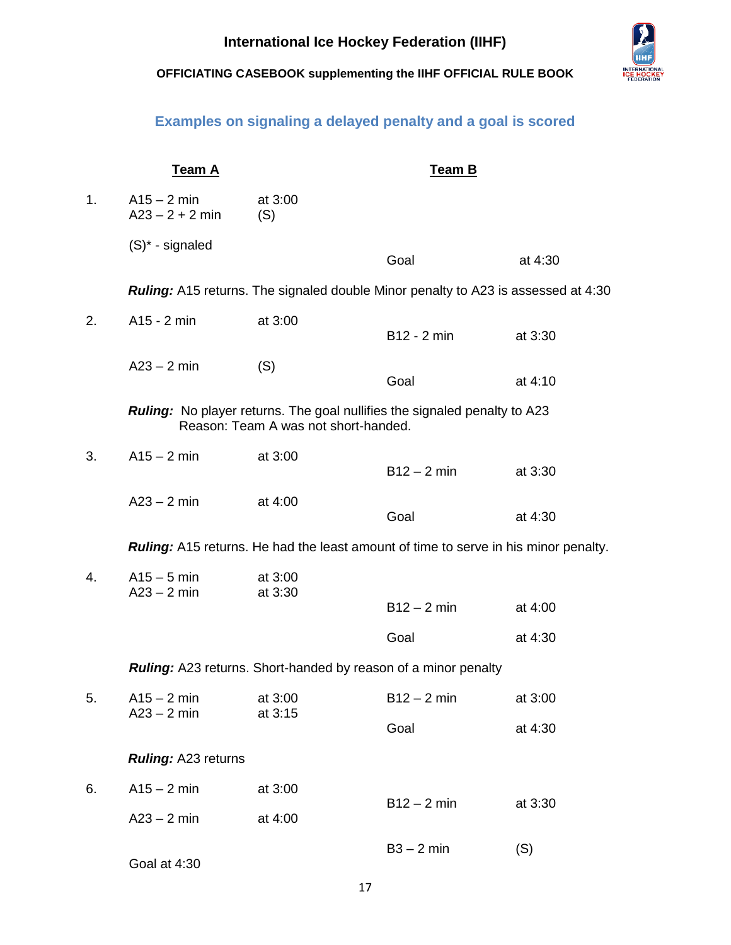## **Examples on signaling a delayed penalty and a goal is scored**

<span id="page-17-0"></span>

|    | <b>Team A</b>                      |                                                                                                                          | <b>Team B</b> |         |
|----|------------------------------------|--------------------------------------------------------------------------------------------------------------------------|---------------|---------|
| 1. | $A15 - 2$ min<br>$A23 - 2 + 2$ min | at 3:00<br>(S)                                                                                                           |               |         |
|    | $(S)^*$ - signaled                 |                                                                                                                          | Goal          | at 4:30 |
|    |                                    | <b>Ruling:</b> A15 returns. The signaled double Minor penalty to A23 is assessed at 4:30                                 |               |         |
| 2. | A15 - 2 min                        | at 3:00                                                                                                                  | B12 - 2 min   | at 3:30 |
|    | $A23 - 2$ min                      | (S)                                                                                                                      | Goal          | at 4:10 |
|    |                                    | <b>Ruling:</b> No player returns. The goal nullifies the signaled penalty to A23<br>Reason: Team A was not short-handed. |               |         |
| 3. | $A15 - 2$ min                      | at 3:00                                                                                                                  | $B12 - 2 min$ | at 3:30 |
|    | $A23 - 2$ min                      | at 4:00                                                                                                                  | Goal          | at 4:30 |
|    |                                    | <b>Ruling:</b> A15 returns. He had the least amount of time to serve in his minor penalty.                               |               |         |
| 4. | $A15 - 5$ min<br>$A23 - 2$ min     | at 3:00<br>at 3:30                                                                                                       | $B12 - 2 min$ | at 4:00 |
|    |                                    |                                                                                                                          | Goal          | at 4:30 |
|    |                                    | Ruling: A23 returns. Short-handed by reason of a minor penalty                                                           |               |         |
| 5. |                                    | $A15 - 2 \text{ min}$ at 3:00                                                                                            | $B12 - 2$ min | at 3:00 |
|    | $A23 - 2$ min                      | at 3:15                                                                                                                  | Goal          | at 4:30 |
|    | Ruling: A23 returns                |                                                                                                                          |               |         |
| 6. | $A15 - 2$ min                      | at 3:00                                                                                                                  | $B12 - 2$ min |         |
|    | $A23 - 2$ min                      | at 4:00                                                                                                                  |               | at 3:30 |
|    | Goal at 4:30                       |                                                                                                                          | $B3 - 2$ min  | (S)     |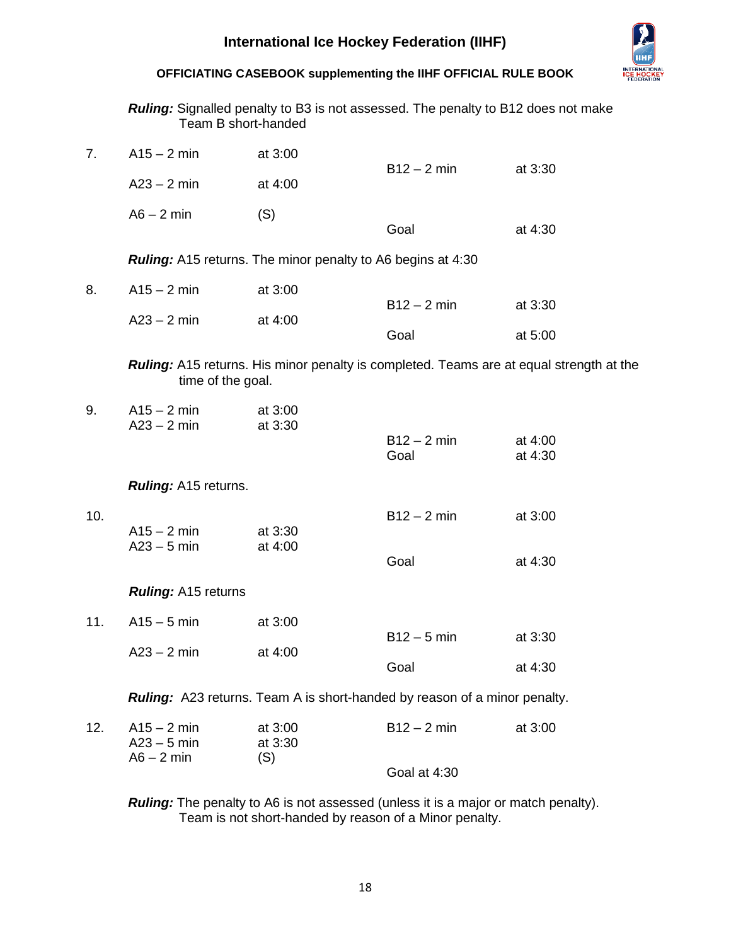

| <b>Ruling:</b> Signalled penalty to B3 is not assessed. The penalty to B12 does not make |  |
|------------------------------------------------------------------------------------------|--|
| Team B short-handed                                                                      |  |

| 7.  | $A15 - 2$ min                  | at 3:00                                                            | $B12 - 2 min$                                                                    | at 3:30                                                                                 |
|-----|--------------------------------|--------------------------------------------------------------------|----------------------------------------------------------------------------------|-----------------------------------------------------------------------------------------|
|     | $A23 - 2$ min                  | at 4:00                                                            |                                                                                  |                                                                                         |
|     | $A6 - 2$ min                   | (S)                                                                | Goal                                                                             | at 4:30                                                                                 |
|     |                                | <b>Ruling:</b> A15 returns. The minor penalty to A6 begins at 4:30 |                                                                                  |                                                                                         |
| 8.  | $A15 - 2$ min                  | at 3:00                                                            | $B12 - 2 min$                                                                    |                                                                                         |
|     | $A23 - 2$ min                  | at 4:00                                                            | Goal                                                                             | at 3:30<br>at 5:00                                                                      |
|     | time of the goal.              |                                                                    |                                                                                  | Ruling: A15 returns. His minor penalty is completed. Teams are at equal strength at the |
| 9.  | $A15 - 2$ min<br>$A23 - 2$ min | at 3:00<br>at 3:30                                                 | $B12 - 2 min$<br>Goal                                                            | at 4:00<br>at 4:30                                                                      |
|     | <b>Ruling:</b> A15 returns.    |                                                                    |                                                                                  |                                                                                         |
| 10. | $A15 - 2$ min<br>$A23 - 5$ min | at 3:30<br>at 4:00                                                 | $B12 - 2 min$<br>Goal                                                            | at 3:00<br>at 4:30                                                                      |
|     | <b>Ruling: A15 returns</b>     |                                                                    |                                                                                  |                                                                                         |
| 11. | $A15 - 5$ min                  | at 3:00                                                            | $B12 - 5$ min                                                                    | at 3:30                                                                                 |
|     | $A23 - 2$ min                  | at 4:00                                                            | Goal                                                                             | at 4:30                                                                                 |
|     |                                |                                                                    | <b>Ruling:</b> A23 returns. Team A is short-handed by reason of a minor penalty. |                                                                                         |
| 12. | $A15 - 2$ min<br>$A23 - 5$ min | at 3:00<br>at 3:30                                                 | $B12 - 2$ min                                                                    | at 3:00                                                                                 |
|     | $A6 - 2$ min                   | (S)                                                                | Goal at 4:30                                                                     |                                                                                         |

*Ruling:* The penalty to A6 is not assessed (unless it is a major or match penalty). Team is not short-handed by reason of a Minor penalty.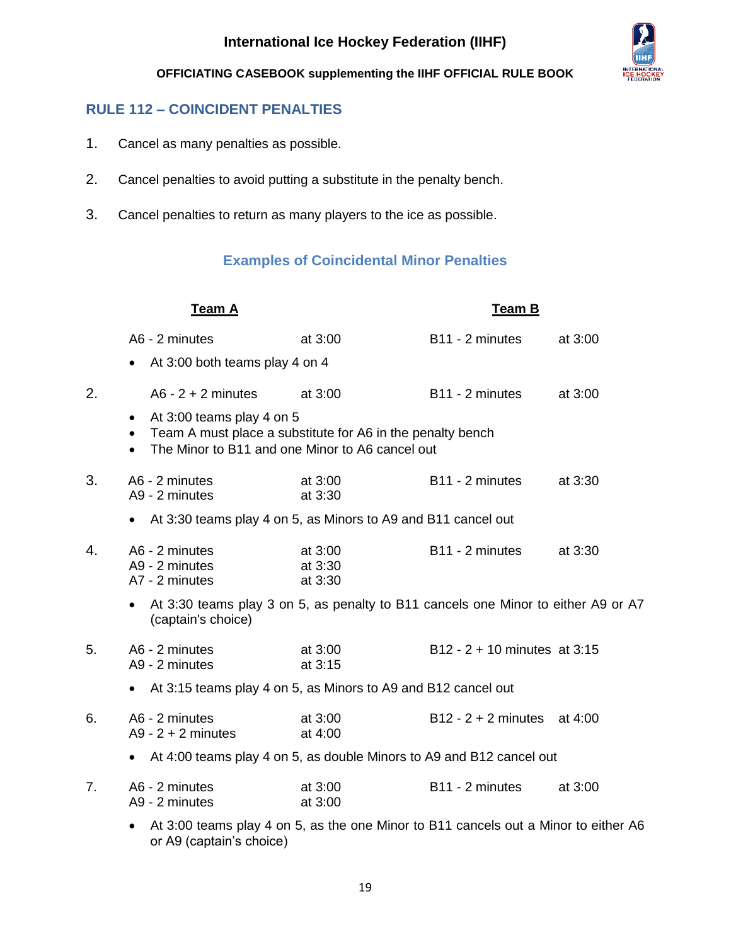

## <span id="page-19-0"></span>**RULE 112 – COINCIDENT PENALTIES**

- 1. Cancel as many penalties as possible.
- 2. Cancel penalties to avoid putting a substitute in the penalty bench.
- <span id="page-19-1"></span>3. Cancel penalties to return as many players to the ice as possible.

## **Examples of Coincidental Minor Penalties**

|    | <b>Team A</b>                                                                                                                                                          |                               | <b>Team B</b>                  |         |
|----|------------------------------------------------------------------------------------------------------------------------------------------------------------------------|-------------------------------|--------------------------------|---------|
|    | A6 - 2 minutes                                                                                                                                                         | at 3:00                       | B11 - 2 minutes                | at 3:00 |
|    | At 3:00 both teams play 4 on 4                                                                                                                                         |                               |                                |         |
| 2. | $A6 - 2 + 2$ minutes                                                                                                                                                   | at 3:00                       | B11 - 2 minutes                | at 3:00 |
|    | • At 3:00 teams play 4 on 5<br>Team A must place a substitute for A6 in the penalty bench<br>$\bullet$<br>The Minor to B11 and one Minor to A6 cancel out<br>$\bullet$ |                               |                                |         |
| 3. | A6 - 2 minutes<br>A9 - 2 minutes                                                                                                                                       | at 3:00<br>at 3:30            | B <sub>11</sub> - 2 minutes    | at 3:30 |
|    | At 3:30 teams play 4 on 5, as Minors to A9 and B11 cancel out<br>$\bullet$                                                                                             |                               |                                |         |
| 4. | A6 - 2 minutes<br>A9 - 2 minutes<br>A7 - 2 minutes                                                                                                                     | at 3:00<br>at 3:30<br>at 3:30 | B <sub>11</sub> - 2 minutes    | at 3:30 |
|    | At 3:30 teams play 3 on 5, as penalty to B11 cancels one Minor to either A9 or A7<br>(captain's choice)                                                                |                               |                                |         |
| 5. | A6 - 2 minutes<br>A9 - 2 minutes                                                                                                                                       | at 3:00<br>at 3:15            | $B12 - 2 + 10$ minutes at 3:15 |         |
|    | At 3:15 teams play 4 on 5, as Minors to A9 and B12 cancel out                                                                                                          |                               |                                |         |
| 6. | A6 - 2 minutes<br>$A9 - 2 + 2$ minutes                                                                                                                                 | at 3:00<br>at 4:00            | $B12 - 2 + 2$ minutes at 4:00  |         |
|    | At 4:00 teams play 4 on 5, as double Minors to A9 and B12 cancel out<br>$\bullet$                                                                                      |                               |                                |         |
| 7. | A6 - 2 minutes<br>A9 - 2 minutes                                                                                                                                       | at 3:00<br>at 3:00            | B <sub>11</sub> - 2 minutes    | at 3:00 |
|    |                                                                                                                                                                        |                               |                                |         |

 At 3:00 teams play 4 on 5, as the one Minor to B11 cancels out a Minor to either A6 or A9 (captain's choice)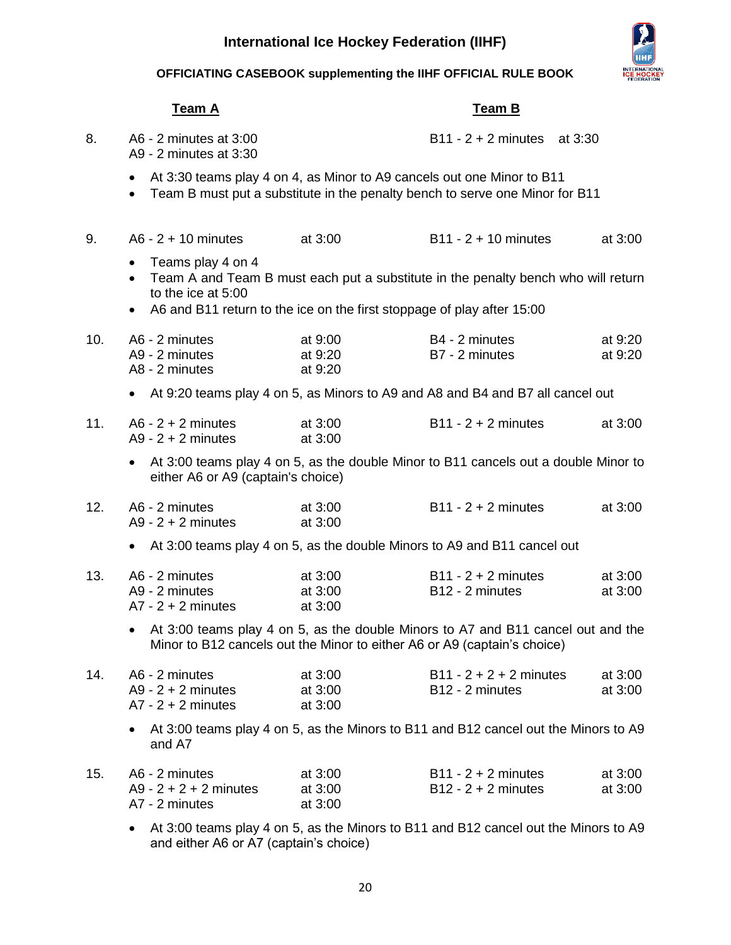

## **OFFICIATING CASEBOOK supplementing the IIHF OFFICIAL RULE BOOK**

| <u>Team A</u> |                                                                                                                                                                                                                                               |                                 | <b>Team B</b>                                            |                    |
|---------------|-----------------------------------------------------------------------------------------------------------------------------------------------------------------------------------------------------------------------------------------------|---------------------------------|----------------------------------------------------------|--------------------|
| 8.            | A6 - 2 minutes at 3:00<br>A9 - 2 minutes at 3:30                                                                                                                                                                                              |                                 | $B11 - 2 + 2$ minutes at 3:30                            |                    |
|               | At 3:30 teams play 4 on 4, as Minor to A9 cancels out one Minor to B11<br>$\bullet$<br>Team B must put a substitute in the penalty bench to serve one Minor for B11<br>$\bullet$                                                              |                                 |                                                          |                    |
| 9.            | $A6 - 2 + 10$ minutes                                                                                                                                                                                                                         | at 3:00                         | $B11 - 2 + 10$ minutes                                   | at 3:00            |
|               | Teams play 4 on 4<br>$\bullet$<br>Team A and Team B must each put a substitute in the penalty bench who will return<br>$\bullet$<br>to the ice at 5:00<br>A6 and B11 return to the ice on the first stoppage of play after 15:00<br>$\bullet$ |                                 |                                                          |                    |
| 10.           | A6 - 2 minutes<br>A9 - 2 minutes<br>A8 - 2 minutes                                                                                                                                                                                            | at 9:00<br>at 9:20<br>at 9:20   | B4 - 2 minutes<br>B7 - 2 minutes                         | at 9:20<br>at 9:20 |
|               | At 9:20 teams play 4 on 5, as Minors to A9 and A8 and B4 and B7 all cancel out<br>$\bullet$                                                                                                                                                   |                                 |                                                          |                    |
| 11.           | $A6 - 2 + 2$ minutes<br>$A9 - 2 + 2$ minutes                                                                                                                                                                                                  | at 3:00<br>at 3:00              | $B11 - 2 + 2$ minutes                                    | at 3:00            |
|               | At 3:00 teams play 4 on 5, as the double Minor to B11 cancels out a double Minor to<br>$\bullet$<br>either A6 or A9 (captain's choice)                                                                                                        |                                 |                                                          |                    |
| 12.           | A6 - 2 minutes<br>$A9 - 2 + 2$ minutes                                                                                                                                                                                                        | at 3:00<br>at 3:00              | $B11 - 2 + 2$ minutes                                    | at 3:00            |
|               | At 3:00 teams play 4 on 5, as the double Minors to A9 and B11 cancel out                                                                                                                                                                      |                                 |                                                          |                    |
| 13.           | A6 - 2 minutes<br>A9 - 2 minutes<br>$A7 - 2 + 2$ minutes                                                                                                                                                                                      | at 3:00<br>at 3:00<br>at 3:00   | $B11 - 2 + 2$ minutes<br>B12 - 2 minutes                 | at 3:00<br>at 3:00 |
|               | At 3:00 teams play 4 on 5, as the double Minors to A7 and B11 cancel out and the<br>Minor to B12 cancels out the Minor to either A6 or A9 (captain's choice)                                                                                  |                                 |                                                          |                    |
| 14.           | A6 - 2 minutes<br>$A9 - 2 + 2$ minutes<br>$A7 - 2 + 2$ minutes                                                                                                                                                                                | at 3:00<br>at 3:00<br>at $3:00$ | $B11 - 2 + 2 + 2$ minutes<br>B <sub>12</sub> - 2 minutes | at 3:00<br>at 3:00 |
|               | At 3:00 teams play 4 on 5, as the Minors to B11 and B12 cancel out the Minors to A9<br>and A7                                                                                                                                                 |                                 |                                                          |                    |
| 15.           | A6 - 2 minutes<br>$A9 - 2 + 2 + 2$ minutes<br>A7 - 2 minutes                                                                                                                                                                                  | at 3:00<br>at 3:00<br>at 3:00   | $B11 - 2 + 2$ minutes<br>$B12 - 2 + 2$ minutes           | at 3:00<br>at 3:00 |
|               | At 3:00 teams play 4 on 5, as the Minors to B11 and B12 cancel out the Minors to A9<br>$\bullet$<br>and either A6 or A7 (captain's choice)                                                                                                    |                                 |                                                          |                    |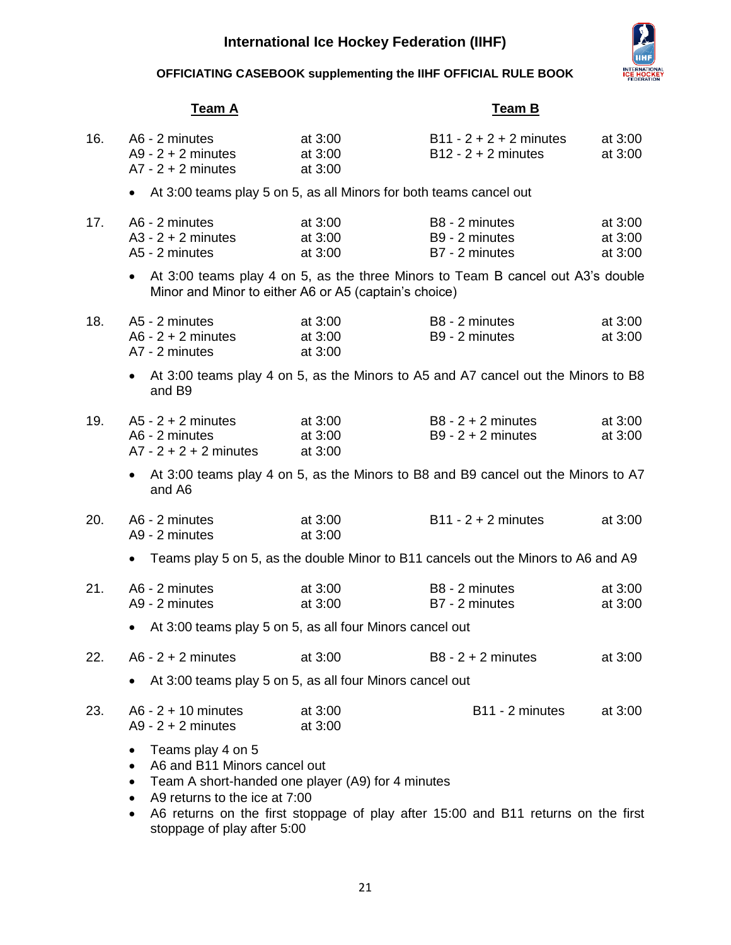

## **OFFICIATING CASEBOOK supplementing the IIHF OFFICIAL RULE BOOK**

|     | Team A                                                                                                                                                                                           |                                   | <u>Team B</u>                                                                     |                               |
|-----|--------------------------------------------------------------------------------------------------------------------------------------------------------------------------------------------------|-----------------------------------|-----------------------------------------------------------------------------------|-------------------------------|
| 16. | A6 - 2 minutes<br>$A9 - 2 + 2$ minutes<br>$A7 - 2 + 2$ minutes                                                                                                                                   | at $3:00$<br>at 3:00<br>at $3:00$ | $B11 - 2 + 2 + 2$ minutes<br>$B12 - 2 + 2$ minutes                                | at 3:00<br>at 3:00            |
|     | $\bullet$                                                                                                                                                                                        |                                   | At 3:00 teams play 5 on 5, as all Minors for both teams cancel out                |                               |
| 17. | A6 - 2 minutes<br>$A3 - 2 + 2$ minutes<br>A5 - 2 minutes                                                                                                                                         | at 3:00<br>at 3:00<br>at 3:00     | B8 - 2 minutes<br>B9 - 2 minutes<br>B7 - 2 minutes                                | at 3:00<br>at 3:00<br>at 3:00 |
|     | Minor and Minor to either A6 or A5 (captain's choice)                                                                                                                                            |                                   | • At 3:00 teams play 4 on 5, as the three Minors to Team B cancel out A3's double |                               |
| 18. | A5 - 2 minutes<br>$A6 - 2 + 2$ minutes<br>A7 - 2 minutes                                                                                                                                         | at 3:00<br>at 3:00<br>at 3:00     | B8 - 2 minutes<br>B9 - 2 minutes                                                  | at $3:00$<br>at 3:00          |
|     | and B9                                                                                                                                                                                           |                                   | At 3:00 teams play 4 on 5, as the Minors to A5 and A7 cancel out the Minors to B8 |                               |
| 19. | $A5 - 2 + 2$ minutes<br>A6 - 2 minutes<br>$A7 - 2 + 2 + 2$ minutes                                                                                                                               | at 3:00<br>at 3:00<br>at $3:00$   | $B8 - 2 + 2$ minutes<br>$B9 - 2 + 2$ minutes                                      | at 3:00<br>at 3:00            |
|     | and A6                                                                                                                                                                                           |                                   | At 3:00 teams play 4 on 5, as the Minors to B8 and B9 cancel out the Minors to A7 |                               |
| 20. | A6 - 2 minutes<br>A9 - 2 minutes                                                                                                                                                                 | at 3:00<br>at 3:00                | $B11 - 2 + 2$ minutes                                                             | at 3:00                       |
|     | $\bullet$                                                                                                                                                                                        |                                   | Teams play 5 on 5, as the double Minor to B11 cancels out the Minors to A6 and A9 |                               |
| 21. | A6 - 2 minutes<br>A9 - 2 minutes                                                                                                                                                                 | at 3:00<br>at 3:00                | B8 - 2 minutes<br>B7 - 2 minutes                                                  | at 3:00<br>at 3:00            |
|     | • At 3:00 teams play 5 on 5, as all four Minors cancel out                                                                                                                                       |                                   |                                                                                   |                               |
| 22. | $A6 - 2 + 2$ minutes                                                                                                                                                                             | at 3:00                           | $B8 - 2 + 2$ minutes                                                              | at $3:00$                     |
|     | At 3:00 teams play 5 on 5, as all four Minors cancel out                                                                                                                                         |                                   |                                                                                   |                               |
| 23. | $A6 - 2 + 10$ minutes<br>$A9 - 2 + 2$ minutes                                                                                                                                                    | at 3:00<br>at 3:00                | B <sub>11</sub> - 2 minutes                                                       | at $3:00$                     |
|     | Teams play 4 on 5<br>A6 and B11 Minors cancel out<br>$\bullet$<br>Team A short-handed one player (A9) for 4 minutes<br>$\bullet$<br>A9 returns to the ice at 7:00<br>stoppage of play after 5:00 |                                   | A6 returns on the first stoppage of play after 15:00 and B11 returns on the first |                               |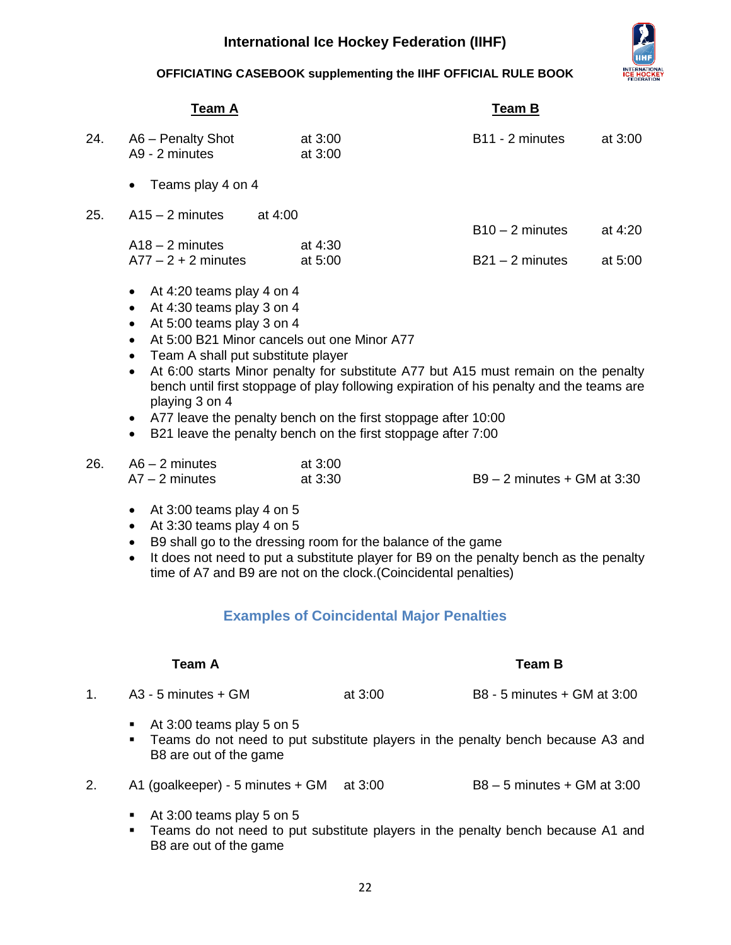

**OFFICIATING CASEBOOK supplementing the IIHF OFFICIAL RULE BOOK**

| B <sub>11</sub> - 2 minutes<br>$B10 - 2$ minutes                                                                                                                                                                                                                                                                | at 3:00<br>at 4:20                                              |
|-----------------------------------------------------------------------------------------------------------------------------------------------------------------------------------------------------------------------------------------------------------------------------------------------------------------|-----------------------------------------------------------------|
|                                                                                                                                                                                                                                                                                                                 |                                                                 |
|                                                                                                                                                                                                                                                                                                                 |                                                                 |
| $B21 - 2$ minutes                                                                                                                                                                                                                                                                                               | at 5:00                                                         |
| At 6:00 starts Minor penalty for substitute A77 but A15 must remain on the penalty<br>bench until first stoppage of play following expiration of his penalty and the teams are<br>A77 leave the penalty bench on the first stoppage after 10:00<br>B21 leave the penalty bench on the first stoppage after 7:00 |                                                                 |
| $B9 - 2$ minutes + GM at 3:30<br>B9 shall go to the dressing room for the balance of the game<br>It does not need to put a substitute player for B9 on the penalty bench as the penalty                                                                                                                         |                                                                 |
|                                                                                                                                                                                                                                                                                                                 | time of A7 and B9 are not on the clock.(Coincidental penalties) |

## **Examples of Coincidental Major Penalties**

<span id="page-22-0"></span>

| Team A |                           |           | Team B                      |  |
|--------|---------------------------|-----------|-----------------------------|--|
| 1.     | A3 - 5 minutes + GM       | at $3:00$ | B8 - 5 minutes + GM at 3:00 |  |
|        | At 3:00 teams play 5 on 5 |           |                             |  |

- **Teams do not need to put substitute players in the penalty bench because A3 and** B8 are out of the game
- 2. A1 (goalkeeper) 5 minutes + GM at 3:00 B8 5 minutes + GM at 3:00
	- At 3:00 teams play 5 on 5
	- **Teams do not need to put substitute players in the penalty bench because A1 and** B8 are out of the game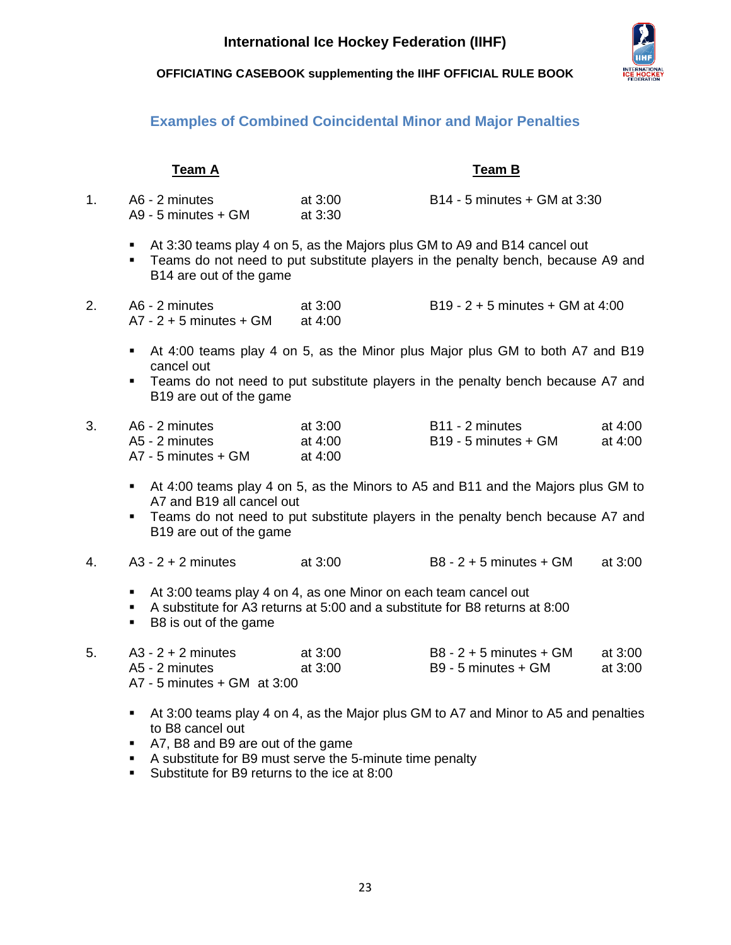

## **Examples of Combined Coincidental Minor and Major Penalties**

<span id="page-23-0"></span>

| <b>Team A</b> |                                                                                                                                                                                                                                  |                               | <b>Team B</b>                                                                                                                                                       |                    |  |
|---------------|----------------------------------------------------------------------------------------------------------------------------------------------------------------------------------------------------------------------------------|-------------------------------|---------------------------------------------------------------------------------------------------------------------------------------------------------------------|--------------------|--|
| 1.            | A6 - 2 minutes<br>A9 - 5 minutes + GM                                                                                                                                                                                            | at 3:00<br>at 3:30            | B14 - 5 minutes + GM at 3:30                                                                                                                                        |                    |  |
|               | ٠<br>٠<br>B14 are out of the game                                                                                                                                                                                                |                               | At 3:30 teams play 4 on 5, as the Majors plus GM to A9 and B14 cancel out<br>Teams do not need to put substitute players in the penalty bench, because A9 and       |                    |  |
| 2.            | A6 - 2 minutes<br>$A7 - 2 + 5$ minutes + GM                                                                                                                                                                                      | at 3:00<br>at 4:00            | $B19 - 2 + 5$ minutes + GM at 4:00                                                                                                                                  |                    |  |
|               | At 4:00 teams play 4 on 5, as the Minor plus Major plus GM to both A7 and B19<br>٠<br>cancel out<br>Teams do not need to put substitute players in the penalty bench because A7 and<br>$\blacksquare$<br>B19 are out of the game |                               |                                                                                                                                                                     |                    |  |
| 3.            | A6 - 2 minutes<br>A5 - 2 minutes<br>A7 - 5 minutes + GM                                                                                                                                                                          | at 3:00<br>at 4:00<br>at 4:00 | B11 - 2 minutes<br>B19 - 5 minutes + GM                                                                                                                             | at 4:00<br>at 4:00 |  |
|               | $\blacksquare$<br>A7 and B19 all cancel out<br>٠<br>B19 are out of the game                                                                                                                                                      |                               | At 4:00 teams play 4 on 5, as the Minors to A5 and B11 and the Majors plus GM to<br>Teams do not need to put substitute players in the penalty bench because A7 and |                    |  |
| 4.            | $A3 - 2 + 2$ minutes                                                                                                                                                                                                             | at 3:00                       | $B8 - 2 + 5$ minutes + GM                                                                                                                                           | at 3:00            |  |
|               | At 3:00 teams play 4 on 4, as one Minor on each team cancel out<br>$\blacksquare$<br>٠<br>B8 is out of the game<br>٠.                                                                                                            |                               | A substitute for A3 returns at 5:00 and a substitute for B8 returns at 8:00                                                                                         |                    |  |
| 5.            | $A3 - 2 + 2$ minutes<br>A5 - 2 minutes<br>$A7 - 5$ minutes + GM at 3:00                                                                                                                                                          | at 3:00<br>at 3:00            | $B8 - 2 + 5$ minutes + GM<br>B9 - 5 minutes + GM                                                                                                                    | at 3:00<br>at 3:00 |  |
|               | $\blacksquare$<br>to B8 cancel out<br>A7, B8 and B9 are out of the game<br>$\Delta$ substitute for RQ must serve the 5-minute time penalty                                                                                       |                               | At 3:00 teams play 4 on 4, as the Major plus GM to A7 and Minor to A5 and penalties                                                                                 |                    |  |

 A substitute for B9 must serve the 5-minute time penalty Substitute for B9 returns to the ice at 8:00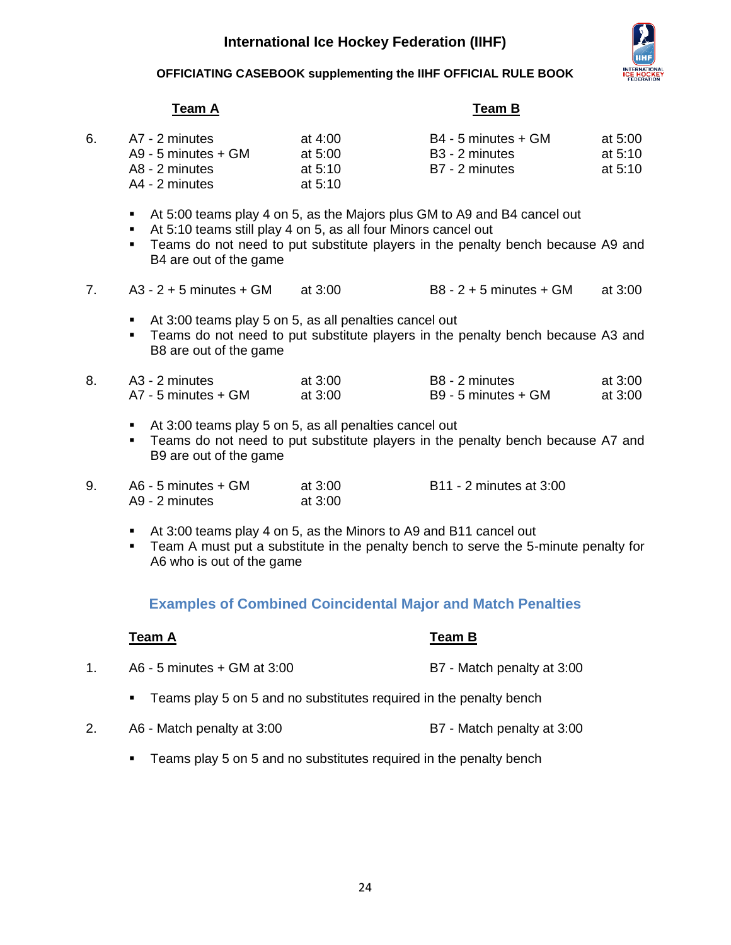

### **OFFICIATING CASEBOOK supplementing the IIHF OFFICIAL RULE BOOK**

## **Team A Team B**

| 6. | A7 - 2 minutes      | at 4:00   | B4 - 5 minutes + GM | at 5:00   |
|----|---------------------|-----------|---------------------|-----------|
|    | A9 - 5 minutes + GM | at $5:00$ | B3 - 2 minutes      | at 5:10   |
|    | A8 - 2 minutes      | at $5:10$ | B7 - 2 minutes      | at $5:10$ |
|    | A4 - 2 minutes      | at $5:10$ |                     |           |
|    |                     |           |                     |           |

- At 5:00 teams play 4 on 5, as the Majors plus GM to A9 and B4 cancel out
- At 5:10 teams still play 4 on 5, as all four Minors cancel out
- **Teams do not need to put substitute players in the penalty bench because A9 and** B4 are out of the game
- 7. A3 2 + 5 minutes + GM at 3:00 B8 2 + 5 minutes + GM at 3:00
	- At 3:00 teams play 5 on 5, as all penalties cancel out
	- **Teams do not need to put substitute players in the penalty bench because A3 and** B8 are out of the game

| A3 - 2 minutes      | at 3:00   | B8 - 2 minutes      | at $3:00$ |
|---------------------|-----------|---------------------|-----------|
| A7 - 5 minutes + GM | at $3:00$ | B9 - 5 minutes + GM | at 3:00   |

- At 3:00 teams play 5 on 5, as all penalties cancel out
- Teams do not need to put substitute players in the penalty bench because A7 and B9 are out of the game
- 9. A6 5 minutes + GM at 3:00 B11 2 minutes at 3:00 A9 - 2 minutes at 3:00
	- At 3:00 teams play 4 on 5, as the Minors to A9 and B11 cancel out
	- **Team A must put a substitute in the penalty bench to serve the 5-minute penalty for** A6 who is out of the game

## **Examples of Combined Coincidental Major and Match Penalties**

<span id="page-24-0"></span>

| Team A                      | Team B                     |
|-----------------------------|----------------------------|
| A6 - 5 minutes + GM at 3:00 | B7 - Match penalty at 3:00 |

- **Teams play 5 on 5 and no substitutes required in the penalty bench**
- 2. A6 Match penalty at 3:00 B7 Match penalty at 3:00
	- **Teams play 5 on 5 and no substitutes required in the penalty bench**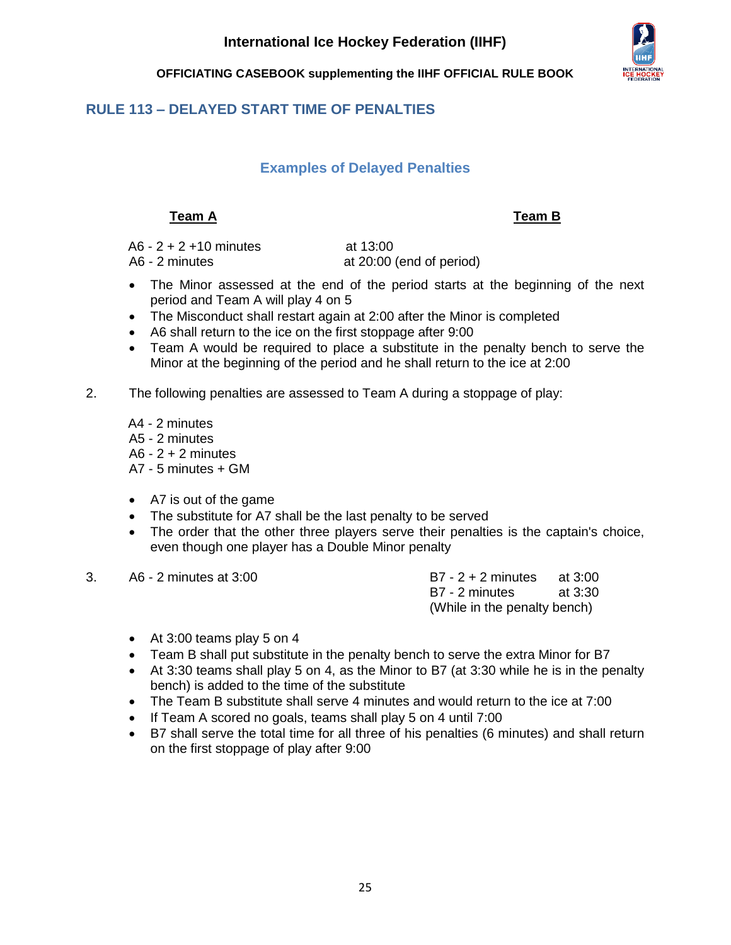

## <span id="page-25-1"></span><span id="page-25-0"></span>**RULE 113 – DELAYED START TIME OF PENALTIES**

## **Examples of Delayed Penalties**

## **Team A Team B**

A6 - 2 + 2 +10 minutes at 13:00

A6 - 2 minutes at 20:00 (end of period)

- The Minor assessed at the end of the period starts at the beginning of the next period and Team A will play 4 on 5
- The Misconduct shall restart again at 2:00 after the Minor is completed
- A6 shall return to the ice on the first stoppage after 9:00
- Team A would be required to place a substitute in the penalty bench to serve the Minor at the beginning of the period and he shall return to the ice at 2:00
- 2. The following penalties are assessed to Team A during a stoppage of play:

A4 - 2 minutes A5 - 2 minutes  $A6 - 2 + 2$  minutes A7 - 5 minutes + GM

- A7 is out of the game
- The substitute for A7 shall be the last penalty to be served
- The order that the other three players serve their penalties is the captain's choice, even though one player has a Double Minor penalty
- 3. A6 2 minutes at 3:00 B7 2 + 2 minutes at 3:00

B7 - 2 minutes at 3:30 (While in the penalty bench)

- At 3:00 teams play 5 on 4
- Team B shall put substitute in the penalty bench to serve the extra Minor for B7
- At 3:30 teams shall play 5 on 4, as the Minor to B7 (at 3:30 while he is in the penalty bench) is added to the time of the substitute
- The Team B substitute shall serve 4 minutes and would return to the ice at 7:00
- If Team A scored no goals, teams shall play 5 on 4 until 7:00
- B7 shall serve the total time for all three of his penalties (6 minutes) and shall return on the first stoppage of play after 9:00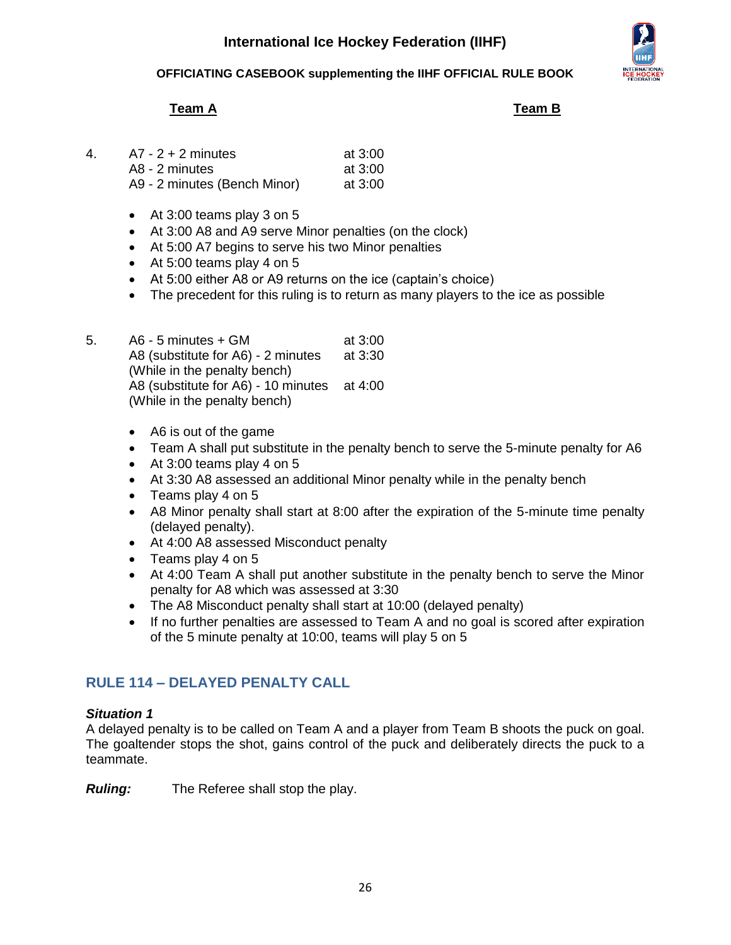

**OFFICIATING CASEBOOK supplementing the IIHF OFFICIAL RULE BOOK**

## **Team A Team B**

| 4 | $A7 - 2 + 2$ minutes         | at $3:00$ |
|---|------------------------------|-----------|
|   | A8 - 2 minutes               | at $3:00$ |
|   | A9 - 2 minutes (Bench Minor) | at $3:00$ |

- At 3:00 teams play 3 on 5
- At 3:00 A8 and A9 serve Minor penalties (on the clock)
- At 5:00 A7 begins to serve his two Minor penalties
- At 5:00 teams play 4 on 5
- At 5:00 either A8 or A9 returns on the ice (captain's choice)
- The precedent for this ruling is to return as many players to the ice as possible
- 5. A6 5 minutes + GM at 3:00 A8 (substitute for A6) - 2 minutes at 3:30 (While in the penalty bench) A8 (substitute for A6) - 10 minutes at 4:00 (While in the penalty bench)
	- A6 is out of the game
	- Team A shall put substitute in the penalty bench to serve the 5-minute penalty for A6
	- At 3:00 teams play 4 on 5
	- At 3:30 A8 assessed an additional Minor penalty while in the penalty bench
	- Teams play 4 on 5
	- A8 Minor penalty shall start at 8:00 after the expiration of the 5-minute time penalty (delayed penalty).
	- At 4:00 A8 assessed Misconduct penalty
	- Teams play 4 on 5
	- At 4:00 Team A shall put another substitute in the penalty bench to serve the Minor penalty for A8 which was assessed at 3:30
	- The A8 Misconduct penalty shall start at 10:00 (delayed penalty)
	- If no further penalties are assessed to Team A and no goal is scored after expiration of the 5 minute penalty at 10:00, teams will play 5 on 5

## <span id="page-26-0"></span>**RULE 114 – DELAYED PENALTY CALL**

### *Situation 1*

A delayed penalty is to be called on Team A and a player from Team B shoots the puck on goal. The goaltender stops the shot, gains control of the puck and deliberately directs the puck to a teammate.

*Ruling:* The Referee shall stop the play.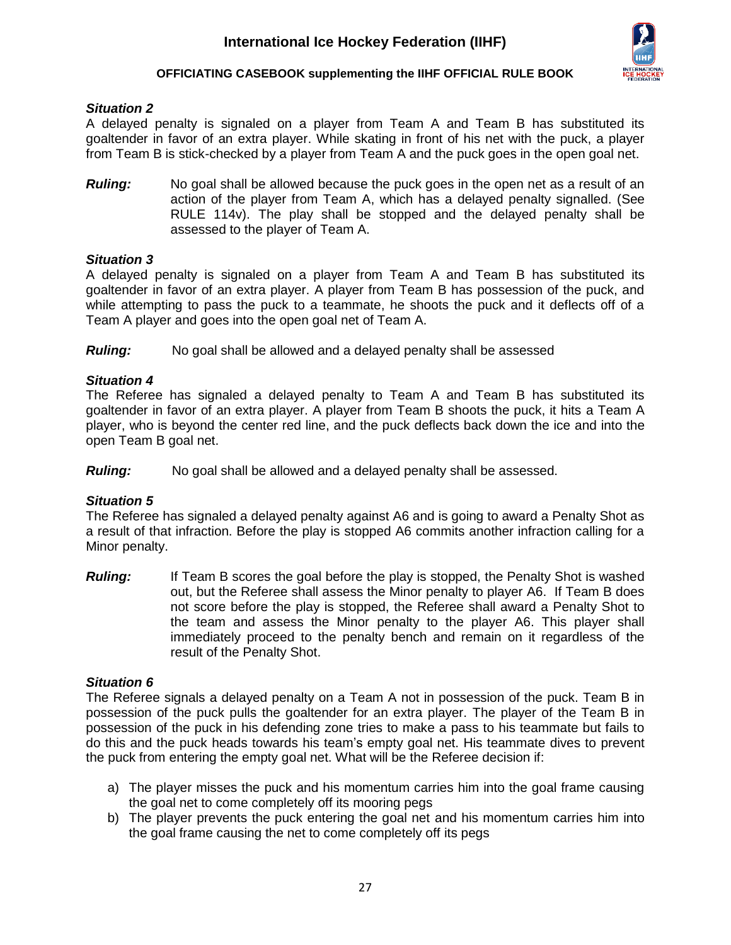

### *Situation 2*

A delayed penalty is signaled on a player from Team A and Team B has substituted its goaltender in favor of an extra player. While skating in front of his net with the puck, a player from Team B is stick-checked by a player from Team A and the puck goes in the open goal net.

*Ruling:* No goal shall be allowed because the puck goes in the open net as a result of an action of the player from Team A, which has a delayed penalty signalled. (See RULE 114v). The play shall be stopped and the delayed penalty shall be assessed to the player of Team A.

### *Situation 3*

A delayed penalty is signaled on a player from Team A and Team B has substituted its goaltender in favor of an extra player. A player from Team B has possession of the puck, and while attempting to pass the puck to a teammate, he shoots the puck and it deflects off of a Team A player and goes into the open goal net of Team A.

*Ruling:* No goal shall be allowed and a delayed penalty shall be assessed

### *Situation 4*

The Referee has signaled a delayed penalty to Team A and Team B has substituted its goaltender in favor of an extra player. A player from Team B shoots the puck, it hits a Team A player, who is beyond the center red line, and the puck deflects back down the ice and into the open Team B goal net.

*Ruling:* No goal shall be allowed and a delayed penalty shall be assessed.

### *Situation 5*

The Referee has signaled a delayed penalty against A6 and is going to award a Penalty Shot as a result of that infraction. Before the play is stopped A6 commits another infraction calling for a Minor penalty.

**Ruling:** If Team B scores the goal before the play is stopped, the Penalty Shot is washed out, but the Referee shall assess the Minor penalty to player A6. If Team B does not score before the play is stopped, the Referee shall award a Penalty Shot to the team and assess the Minor penalty to the player A6. This player shall immediately proceed to the penalty bench and remain on it regardless of the result of the Penalty Shot.

### *Situation 6*

The Referee signals a delayed penalty on a Team A not in possession of the puck. Team B in possession of the puck pulls the goaltender for an extra player. The player of the Team B in possession of the puck in his defending zone tries to make a pass to his teammate but fails to do this and the puck heads towards his team's empty goal net. His teammate dives to prevent the puck from entering the empty goal net. What will be the Referee decision if:

- a) The player misses the puck and his momentum carries him into the goal frame causing the goal net to come completely off its mooring pegs
- b) The player prevents the puck entering the goal net and his momentum carries him into the goal frame causing the net to come completely off its pegs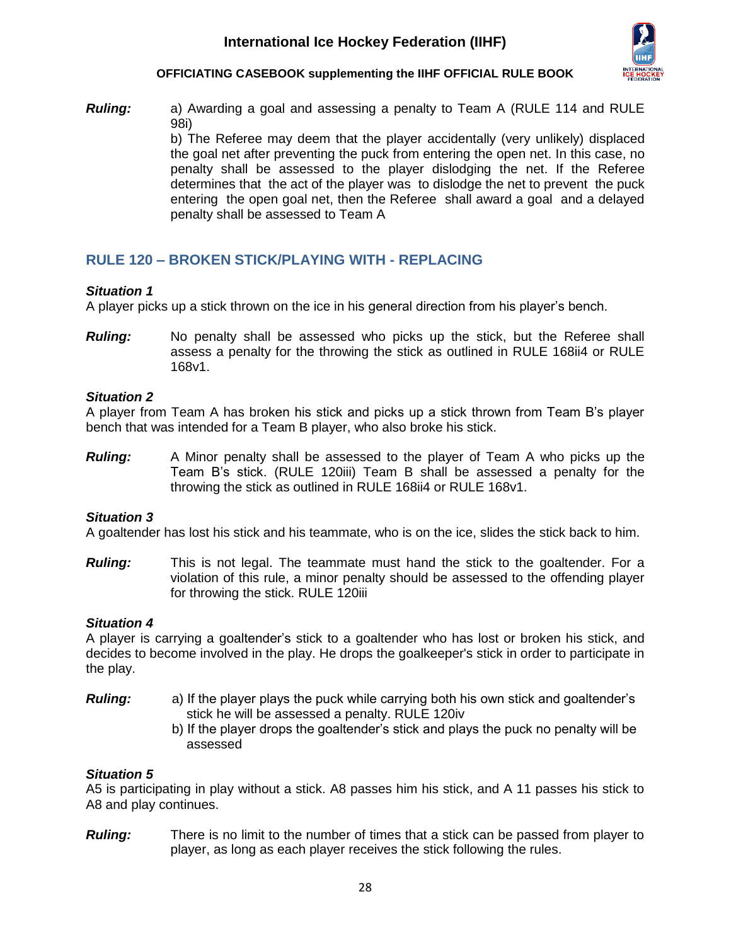

*Ruling:* a) Awarding a goal and assessing a penalty to Team A (RULE 114 and RULE 98i) b) The Referee may deem that the player accidentally (very unlikely) displaced the goal net after preventing the puck from entering the open net. In this case, no penalty shall be assessed to the player dislodging the net. If the Referee determines that the act of the player was to dislodge the net to prevent the puck entering the open goal net, then the Referee shall award a goal and a delayed penalty shall be assessed to Team A

## <span id="page-28-0"></span>**RULE 120 – BROKEN STICK/PLAYING WITH - REPLACING**

### *Situation 1*

A player picks up a stick thrown on the ice in his general direction from his player's bench.

*Ruling:* No penalty shall be assessed who picks up the stick, but the Referee shall assess a penalty for the throwing the stick as outlined in RULE 168ii4 or RULE 168v1.

### *Situation 2*

A player from Team A has broken his stick and picks up a stick thrown from Team B's player bench that was intended for a Team B player, who also broke his stick.

*Ruling:* A Minor penalty shall be assessed to the player of Team A who picks up the Team B's stick. (RULE 120iii) Team B shall be assessed a penalty for the throwing the stick as outlined in RULE 168ii4 or RULE 168v1.

### *Situation 3*

A goaltender has lost his stick and his teammate, who is on the ice, slides the stick back to him.

*Ruling:* This is not legal. The teammate must hand the stick to the goaltender. For a violation of this rule, a minor penalty should be assessed to the offending player for throwing the stick. RULE 120iii

### *Situation 4*

A player is carrying a goaltender's stick to a goaltender who has lost or broken his stick, and decides to become involved in the play. He drops the goalkeeper's stick in order to participate in the play.

- *Ruling:* a) If the player plays the puck while carrying both his own stick and goaltender's stick he will be assessed a penalty. RULE 120iv
	- b) If the player drops the goaltender's stick and plays the puck no penalty will be assessed

### *Situation 5*

A5 is participating in play without a stick. A8 passes him his stick, and A 11 passes his stick to A8 and play continues.

*Ruling:* There is no limit to the number of times that a stick can be passed from player to player, as long as each player receives the stick following the rules.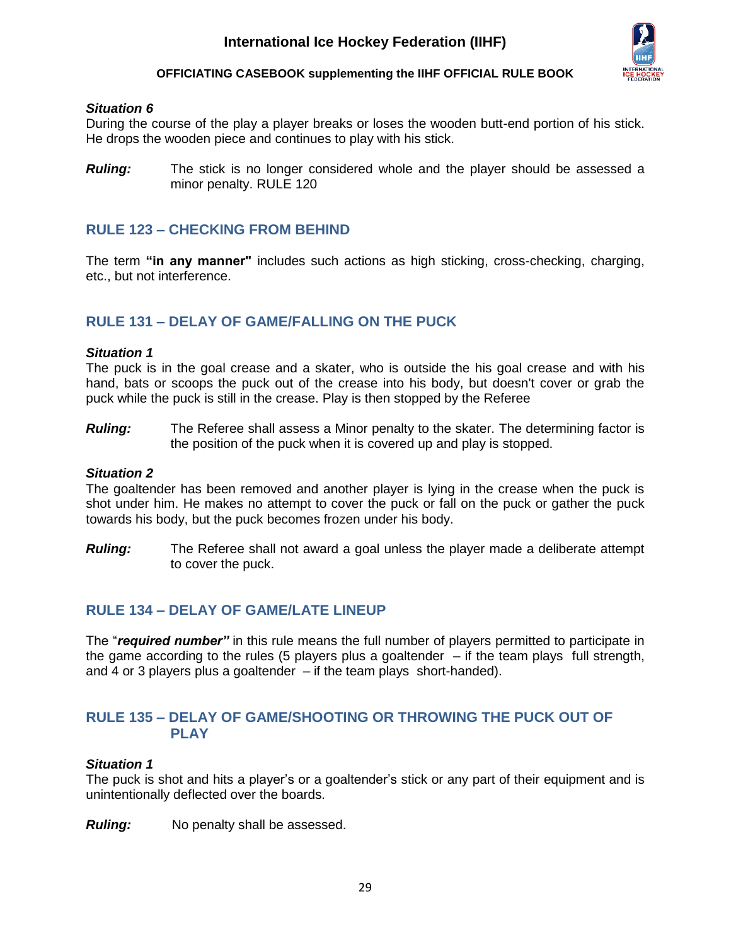

### *Situation 6*

During the course of the play a player breaks or loses the wooden butt-end portion of his stick. He drops the wooden piece and continues to play with his stick.

*Ruling:* The stick is no longer considered whole and the player should be assessed a minor penalty. RULE 120

## <span id="page-29-0"></span>**RULE 123 – CHECKING FROM BEHIND**

The term **"in any manner"** includes such actions as high sticking, cross-checking, charging, etc., but not interference.

## <span id="page-29-1"></span>**RULE 131 – DELAY OF GAME/FALLING ON THE PUCK**

### *Situation 1*

The puck is in the goal crease and a skater, who is outside the his goal crease and with his hand, bats or scoops the puck out of the crease into his body, but doesn't cover or grab the puck while the puck is still in the crease. Play is then stopped by the Referee

*Ruling:* The Referee shall assess a Minor penalty to the skater. The determining factor is the position of the puck when it is covered up and play is stopped.

### *Situation 2*

The goaltender has been removed and another player is lying in the crease when the puck is shot under him. He makes no attempt to cover the puck or fall on the puck or gather the puck towards his body, but the puck becomes frozen under his body.

*Ruling:* The Referee shall not award a goal unless the player made a deliberate attempt to cover the puck.

### <span id="page-29-2"></span>**RULE 134 – DELAY OF GAME/LATE LINEUP**

The "*required number"* in this rule means the full number of players permitted to participate in the game according to the rules (5 players plus a goaltender  $-$  if the team plays full strength, and 4 or 3 players plus a goaltender  $-$  if the team plays short-handed).

### <span id="page-29-3"></span>**RULE 135 – DELAY OF GAME/SHOOTING OR THROWING THE PUCK OUT OF PLAY**

### *Situation 1*

The puck is shot and hits a player's or a goaltender's stick or any part of their equipment and is unintentionally deflected over the boards.

*Ruling:* No penalty shall be assessed.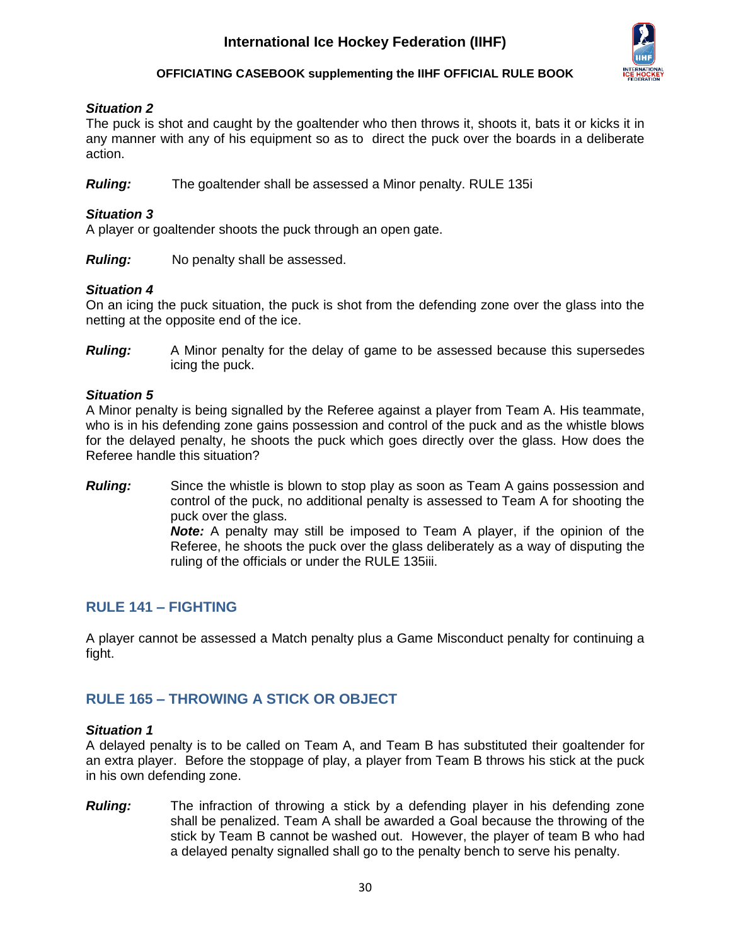

### *Situation 2*

The puck is shot and caught by the goaltender who then throws it, shoots it, bats it or kicks it in any manner with any of his equipment so as to direct the puck over the boards in a deliberate action.

*Ruling:* The goaltender shall be assessed a Minor penalty. RULE 135i

### *Situation 3*

A player or goaltender shoots the puck through an open gate.

*Ruling:* No penalty shall be assessed.

### *Situation 4*

On an icing the puck situation, the puck is shot from the defending zone over the glass into the netting at the opposite end of the ice.

*Ruling:* A Minor penalty for the delay of game to be assessed because this supersedes icing the puck.

### *Situation 5*

A Minor penalty is being signalled by the Referee against a player from Team A. His teammate, who is in his defending zone gains possession and control of the puck and as the whistle blows for the delayed penalty, he shoots the puck which goes directly over the glass. How does the Referee handle this situation?

*Ruling:* Since the whistle is blown to stop play as soon as Team A gains possession and control of the puck, no additional penalty is assessed to Team A for shooting the puck over the glass.

*Note:* A penalty may still be imposed to Team A player, if the opinion of the Referee, he shoots the puck over the glass deliberately as a way of disputing the ruling of the officials or under the RULE 135iii.

### <span id="page-30-0"></span>**RULE 141 – FIGHTING**

A player cannot be assessed a Match penalty plus a Game Misconduct penalty for continuing a fight.

## <span id="page-30-1"></span>**RULE 165 – THROWING A STICK OR OBJECT**

### *Situation 1*

A delayed penalty is to be called on Team A, and Team B has substituted their goaltender for an extra player. Before the stoppage of play, a player from Team B throws his stick at the puck in his own defending zone.

*Ruling:* The infraction of throwing a stick by a defending player in his defending zone shall be penalized. Team A shall be awarded a Goal because the throwing of the stick by Team B cannot be washed out. However, the player of team B who had a delayed penalty signalled shall go to the penalty bench to serve his penalty.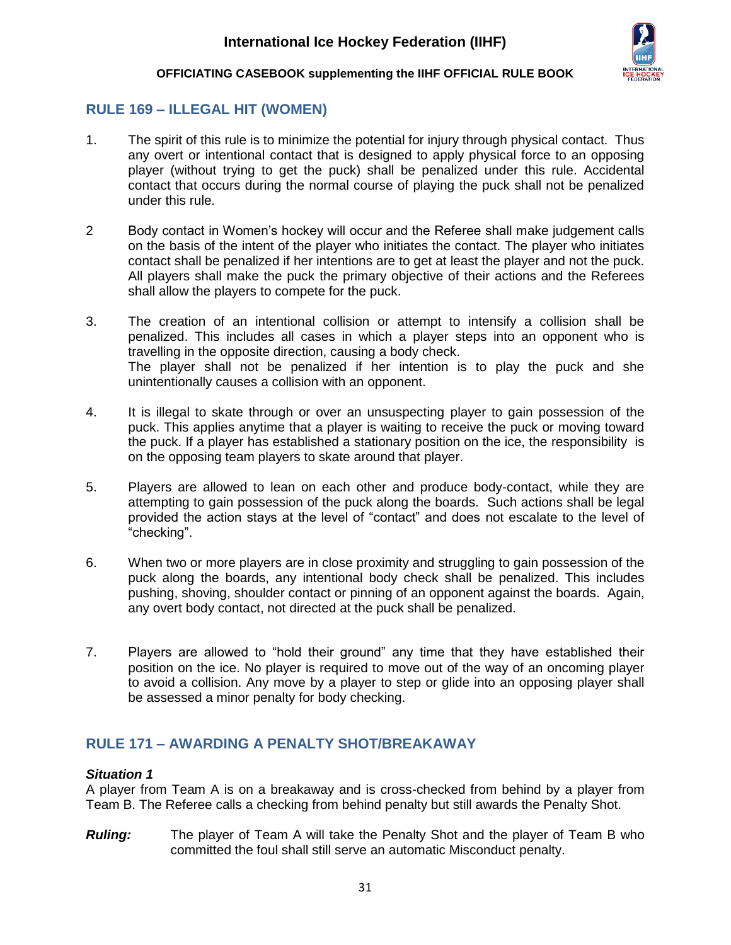

## <span id="page-31-0"></span>**RULE 169 – ILLEGAL HIT (WOMEN)**

- 1. The spirit of this rule is to minimize the potential for injury through physical contact. Thus any overt or intentional contact that is designed to apply physical force to an opposing player (without trying to get the puck) shall be penalized under this rule. Accidental contact that occurs during the normal course of playing the puck shall not be penalized under this rule.
- 2 Body contact in Women's hockey will occur and the Referee shall make judgement calls on the basis of the intent of the player who initiates the contact. The player who initiates contact shall be penalized if her intentions are to get at least the player and not the puck. All players shall make the puck the primary objective of their actions and the Referees shall allow the players to compete for the puck.
- 3. The creation of an intentional collision or attempt to intensify a collision shall be penalized. This includes all cases in which a player steps into an opponent who is travelling in the opposite direction, causing a body check. The player shall not be penalized if her intention is to play the puck and she unintentionally causes a collision with an opponent.
- 4. It is illegal to skate through or over an unsuspecting player to gain possession of the puck. This applies anytime that a player is waiting to receive the puck or moving toward the puck. If a player has established a stationary position on the ice, the responsibility is on the opposing team players to skate around that player.
- 5. Players are allowed to lean on each other and produce body-contact, while they are attempting to gain possession of the puck along the boards. Such actions shall be legal provided the action stays at the level of "contact" and does not escalate to the level of "checking".
- 6. When two or more players are in close proximity and struggling to gain possession of the puck along the boards, any intentional body check shall be penalized. This includes pushing, shoving, shoulder contact or pinning of an opponent against the boards. Again, any overt body contact, not directed at the puck shall be penalized.
- 7. Players are allowed to "hold their ground" any time that they have established their position on the ice. No player is required to move out of the way of an oncoming player to avoid a collision. Any move by a player to step or glide into an opposing player shall be assessed a minor penalty for body checking.

## <span id="page-31-1"></span>**RULE 171 – AWARDING A PENALTY SHOT/BREAKAWAY**

### *Situation 1*

A player from Team A is on a breakaway and is cross-checked from behind by a player from Team B. The Referee calls a checking from behind penalty but still awards the Penalty Shot.

*Ruling:* The player of Team A will take the Penalty Shot and the player of Team B who committed the foul shall still serve an automatic Misconduct penalty.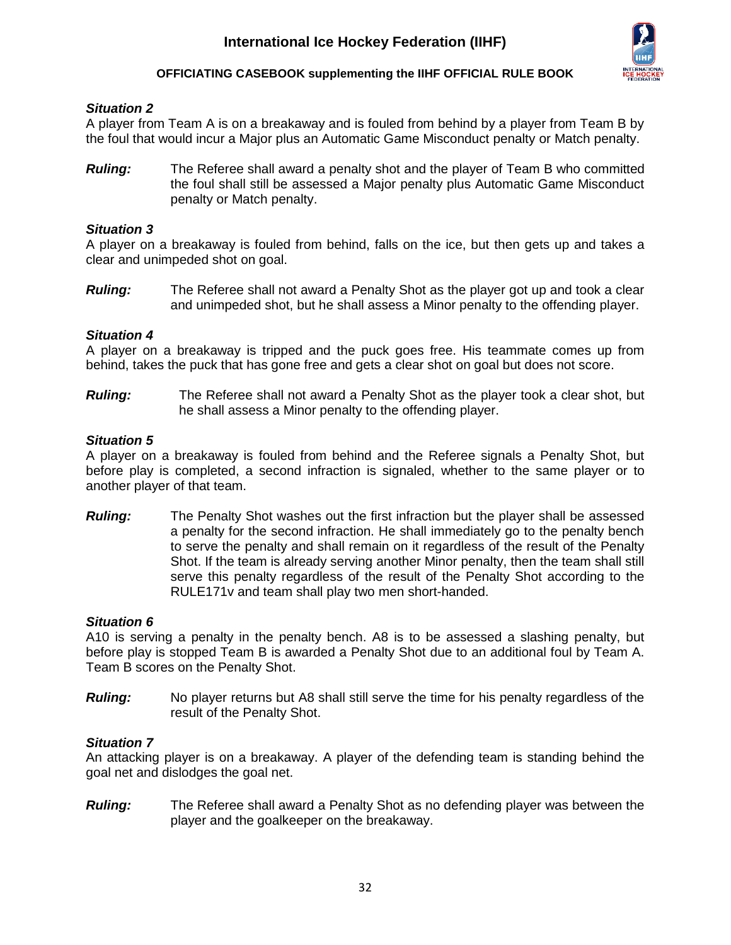

### *Situation 2*

A player from Team A is on a breakaway and is fouled from behind by a player from Team B by the foul that would incur a Major plus an Automatic Game Misconduct penalty or Match penalty.

*Ruling:* The Referee shall award a penalty shot and the player of Team B who committed the foul shall still be assessed a Major penalty plus Automatic Game Misconduct penalty or Match penalty.

### *Situation 3*

A player on a breakaway is fouled from behind, falls on the ice, but then gets up and takes a clear and unimpeded shot on goal.

*Ruling:* The Referee shall not award a Penalty Shot as the player got up and took a clear and unimpeded shot, but he shall assess a Minor penalty to the offending player.

### *Situation 4*

A player on a breakaway is tripped and the puck goes free. His teammate comes up from behind, takes the puck that has gone free and gets a clear shot on goal but does not score.

*Ruling:* The Referee shall not award a Penalty Shot as the player took a clear shot, but he shall assess a Minor penalty to the offending player.

### *Situation 5*

A player on a breakaway is fouled from behind and the Referee signals a Penalty Shot, but before play is completed, a second infraction is signaled, whether to the same player or to another player of that team.

*Ruling:* The Penalty Shot washes out the first infraction but the player shall be assessed a penalty for the second infraction. He shall immediately go to the penalty bench to serve the penalty and shall remain on it regardless of the result of the Penalty Shot. If the team is already serving another Minor penalty, then the team shall still serve this penalty regardless of the result of the Penalty Shot according to the RULE171v and team shall play two men short-handed.

### *Situation 6*

A10 is serving a penalty in the penalty bench. A8 is to be assessed a slashing penalty, but before play is stopped Team B is awarded a Penalty Shot due to an additional foul by Team A. Team B scores on the Penalty Shot.

*Ruling:* No player returns but A8 shall still serve the time for his penalty regardless of the result of the Penalty Shot.

### *Situation 7*

An attacking player is on a breakaway. A player of the defending team is standing behind the goal net and dislodges the goal net.

*Ruling:* The Referee shall award a Penalty Shot as no defending player was between the player and the goalkeeper on the breakaway.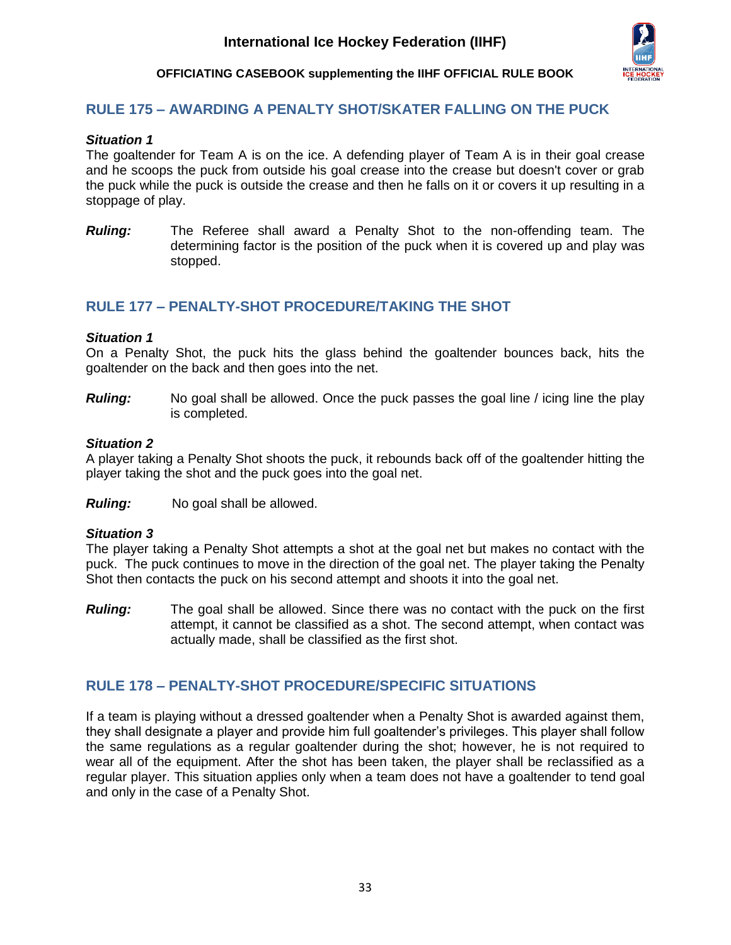

### <span id="page-33-0"></span>**RULE 175 – AWARDING A PENALTY SHOT/SKATER FALLING ON THE PUCK**

### *Situation 1*

The goaltender for Team A is on the ice. A defending player of Team A is in their goal crease and he scoops the puck from outside his goal crease into the crease but doesn't cover or grab the puck while the puck is outside the crease and then he falls on it or covers it up resulting in a stoppage of play.

*Ruling:* The Referee shall award a Penalty Shot to the non-offending team. The determining factor is the position of the puck when it is covered up and play was stopped.

### <span id="page-33-1"></span>**RULE 177 – PENALTY-SHOT PROCEDURE/TAKING THE SHOT**

### *Situation 1*

On a Penalty Shot, the puck hits the glass behind the goaltender bounces back, hits the goaltender on the back and then goes into the net.

*Ruling:* No goal shall be allowed. Once the puck passes the goal line / icing line the play is completed.

### *Situation 2*

A player taking a Penalty Shot shoots the puck, it rebounds back off of the goaltender hitting the player taking the shot and the puck goes into the goal net.

*Ruling:* No goal shall be allowed.

### *Situation 3*

The player taking a Penalty Shot attempts a shot at the goal net but makes no contact with the puck. The puck continues to move in the direction of the goal net. The player taking the Penalty Shot then contacts the puck on his second attempt and shoots it into the goal net.

*Ruling:* The goal shall be allowed. Since there was no contact with the puck on the first attempt, it cannot be classified as a shot. The second attempt, when contact was actually made, shall be classified as the first shot.

### <span id="page-33-2"></span>**RULE 178 – PENALTY-SHOT PROCEDURE/SPECIFIC SITUATIONS**

If a team is playing without a dressed goaltender when a Penalty Shot is awarded against them, they shall designate a player and provide him full goaltender's privileges. This player shall follow the same regulations as a regular goaltender during the shot; however, he is not required to wear all of the equipment. After the shot has been taken, the player shall be reclassified as a regular player. This situation applies only when a team does not have a goaltender to tend goal and only in the case of a Penalty Shot.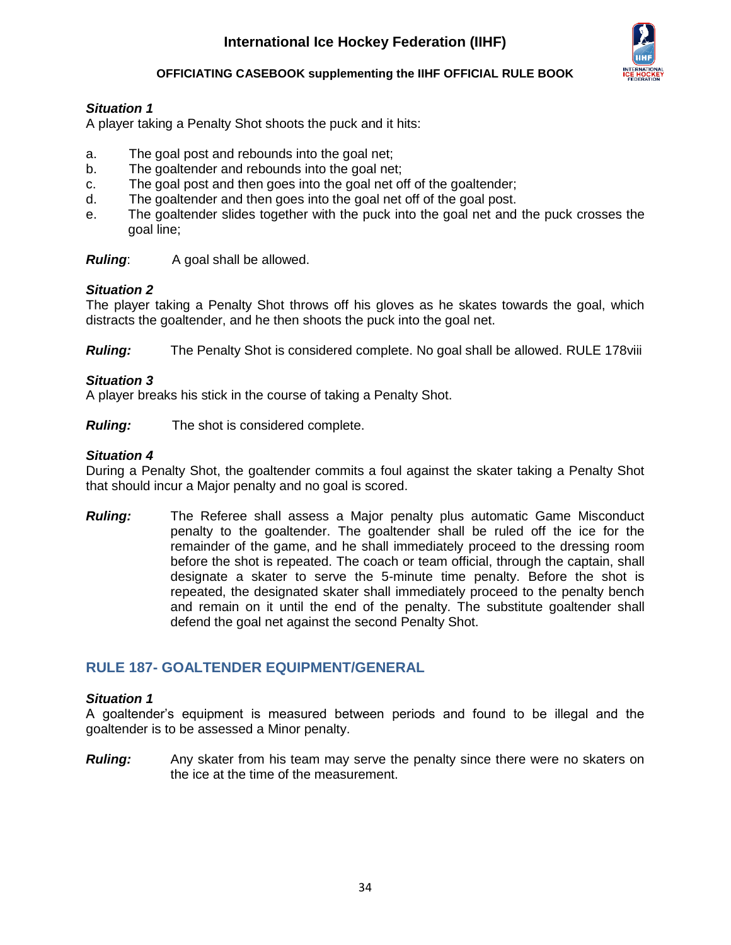

### *Situation 1*

A player taking a Penalty Shot shoots the puck and it hits:

- a. The goal post and rebounds into the goal net;
- b. The goaltender and rebounds into the goal net;
- c. The goal post and then goes into the goal net off of the goaltender;
- d. The goaltender and then goes into the goal net off of the goal post.
- e. The goaltender slides together with the puck into the goal net and the puck crosses the goal line;

*Ruling*: A goal shall be allowed.

### *Situation 2*

The player taking a Penalty Shot throws off his gloves as he skates towards the goal, which distracts the goaltender, and he then shoots the puck into the goal net.

*Ruling:* The Penalty Shot is considered complete. No goal shall be allowed. RULE 178viii

### *Situation 3*

A player breaks his stick in the course of taking a Penalty Shot.

*Ruling:* The shot is considered complete.

### *Situation 4*

During a Penalty Shot, the goaltender commits a foul against the skater taking a Penalty Shot that should incur a Major penalty and no goal is scored.

*Ruling:* The Referee shall assess a Major penalty plus automatic Game Misconduct penalty to the goaltender. The goaltender shall be ruled off the ice for the remainder of the game, and he shall immediately proceed to the dressing room before the shot is repeated. The coach or team official, through the captain, shall designate a skater to serve the 5-minute time penalty. Before the shot is repeated, the designated skater shall immediately proceed to the penalty bench and remain on it until the end of the penalty. The substitute goaltender shall defend the goal net against the second Penalty Shot.

### <span id="page-34-0"></span>**RULE 187- GOALTENDER EQUIPMENT/GENERAL**

### *Situation 1*

A goaltender's equipment is measured between periods and found to be illegal and the goaltender is to be assessed a Minor penalty.

*Ruling:* Any skater from his team may serve the penalty since there were no skaters on the ice at the time of the measurement.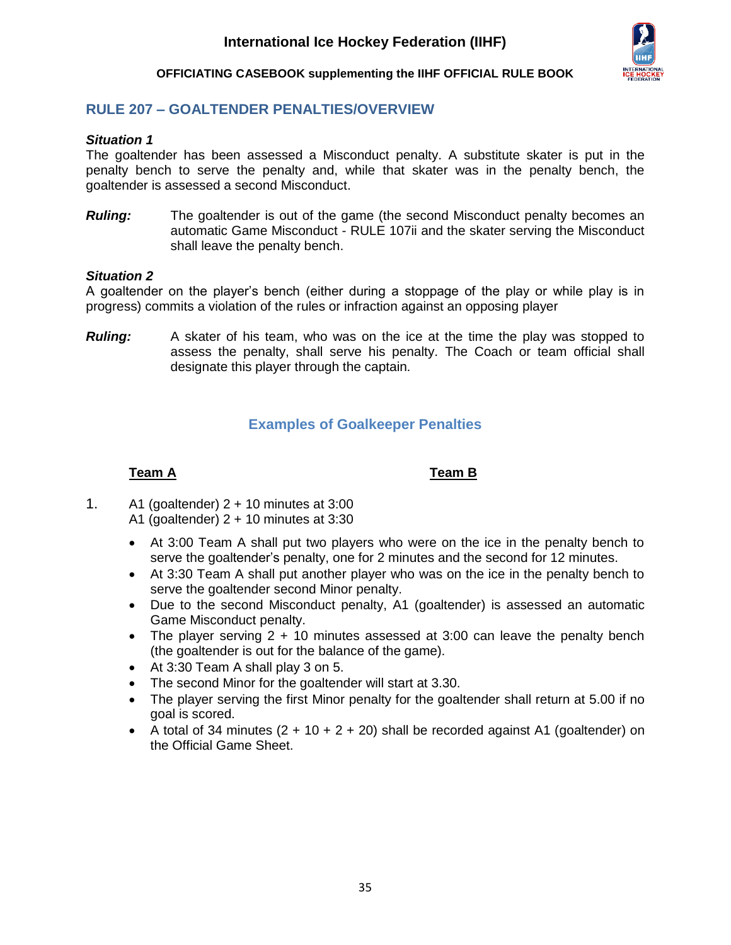

## <span id="page-35-0"></span>**RULE 207 – GOALTENDER PENALTIES/OVERVIEW**

### *Situation 1*

The goaltender has been assessed a Misconduct penalty. A substitute skater is put in the penalty bench to serve the penalty and, while that skater was in the penalty bench, the goaltender is assessed a second Misconduct.

*Ruling:* The goaltender is out of the game (the second Misconduct penalty becomes an automatic Game Misconduct - RULE 107ii and the skater serving the Misconduct shall leave the penalty bench.

### *Situation 2*

A goaltender on the player's bench (either during a stoppage of the play or while play is in progress) commits a violation of the rules or infraction against an opposing player

<span id="page-35-1"></span>*Ruling:* A skater of his team, who was on the ice at the time the play was stopped to assess the penalty, shall serve his penalty. The Coach or team official shall designate this player through the captain.

## **Examples of Goalkeeper Penalties**

### **Team A Team B**

- 1. A1 (goaltender)  $2 + 10$  minutes at 3:00 A1 (goaltender)  $2 + 10$  minutes at 3:30
	- At 3:00 Team A shall put two players who were on the ice in the penalty bench to serve the goaltender's penalty, one for 2 minutes and the second for 12 minutes.
	- At 3:30 Team A shall put another player who was on the ice in the penalty bench to serve the goaltender second Minor penalty.
	- Due to the second Misconduct penalty, A1 (goaltender) is assessed an automatic Game Misconduct penalty.
	- The player serving 2 + 10 minutes assessed at 3:00 can leave the penalty bench (the goaltender is out for the balance of the game).
	- At 3:30 Team A shall play 3 on 5.
	- The second Minor for the goaltender will start at 3.30.
	- The player serving the first Minor penalty for the goaltender shall return at 5.00 if no goal is scored.
	- A total of 34 minutes  $(2 + 10 + 2 + 20)$  shall be recorded against A1 (goaltender) on the Official Game Sheet.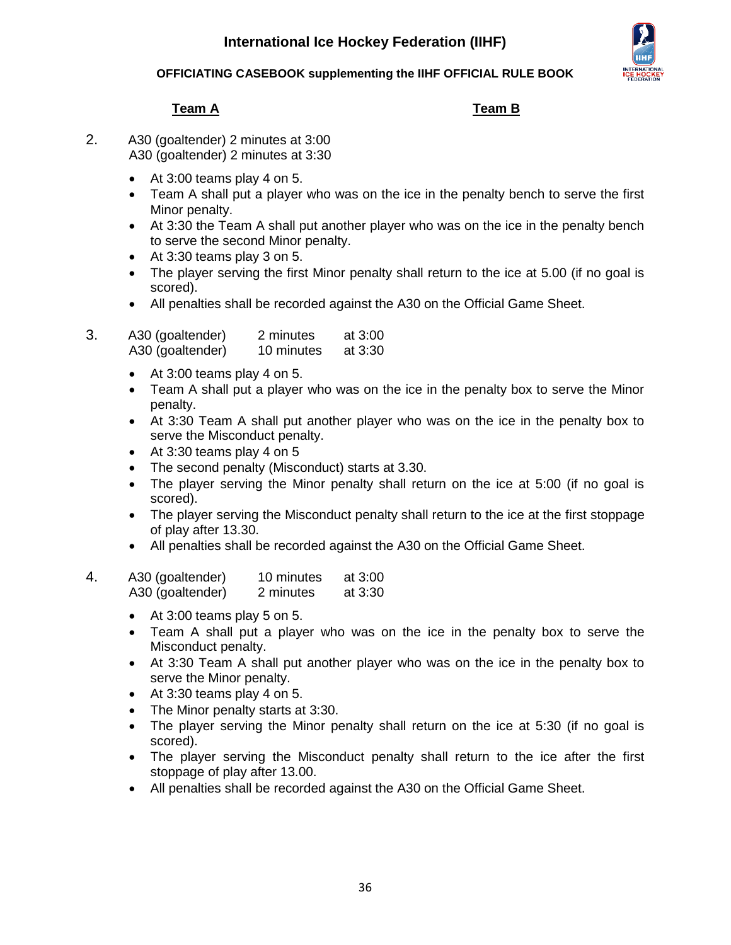### **OFFICIATING CASEBOOK supplementing the IIHF OFFICIAL RULE BOOK**

## **Team A Team B**

- 2. A30 (goaltender) 2 minutes at 3:00 A30 (goaltender) 2 minutes at 3:30
	- At 3:00 teams play 4 on 5.
	- Team A shall put a player who was on the ice in the penalty bench to serve the first Minor penalty.
	- At 3:30 the Team A shall put another player who was on the ice in the penalty bench to serve the second Minor penalty.
	- At 3:30 teams play 3 on 5.
	- The player serving the first Minor penalty shall return to the ice at 5.00 (if no goal is scored).
	- All penalties shall be recorded against the A30 on the Official Game Sheet.
- 3. A30 (goaltender) 2 minutes at 3:00 A30 (goaltender) 10 minutes at 3:30
	- At 3:00 teams play 4 on 5.
	- Team A shall put a player who was on the ice in the penalty box to serve the Minor penalty.
	- At 3:30 Team A shall put another player who was on the ice in the penalty box to serve the Misconduct penalty.
	- At 3:30 teams play 4 on 5
	- The second penalty (Misconduct) starts at 3.30.
	- The player serving the Minor penalty shall return on the ice at 5:00 (if no goal is scored).
	- The player serving the Misconduct penalty shall return to the ice at the first stoppage of play after 13.30.
	- All penalties shall be recorded against the A30 on the Official Game Sheet.

### 4. A30 (goaltender) 10 minutes at 3:00 A30 (goaltender) 2 minutes at 3:30

- At 3:00 teams play 5 on 5.
- Team A shall put a player who was on the ice in the penalty box to serve the Misconduct penalty.
- At 3:30 Team A shall put another player who was on the ice in the penalty box to serve the Minor penalty.
- At 3:30 teams play 4 on 5.
- The Minor penalty starts at 3:30.
- The player serving the Minor penalty shall return on the ice at 5:30 (if no goal is scored).
- The player serving the Misconduct penalty shall return to the ice after the first stoppage of play after 13.00.
- All penalties shall be recorded against the A30 on the Official Game Sheet.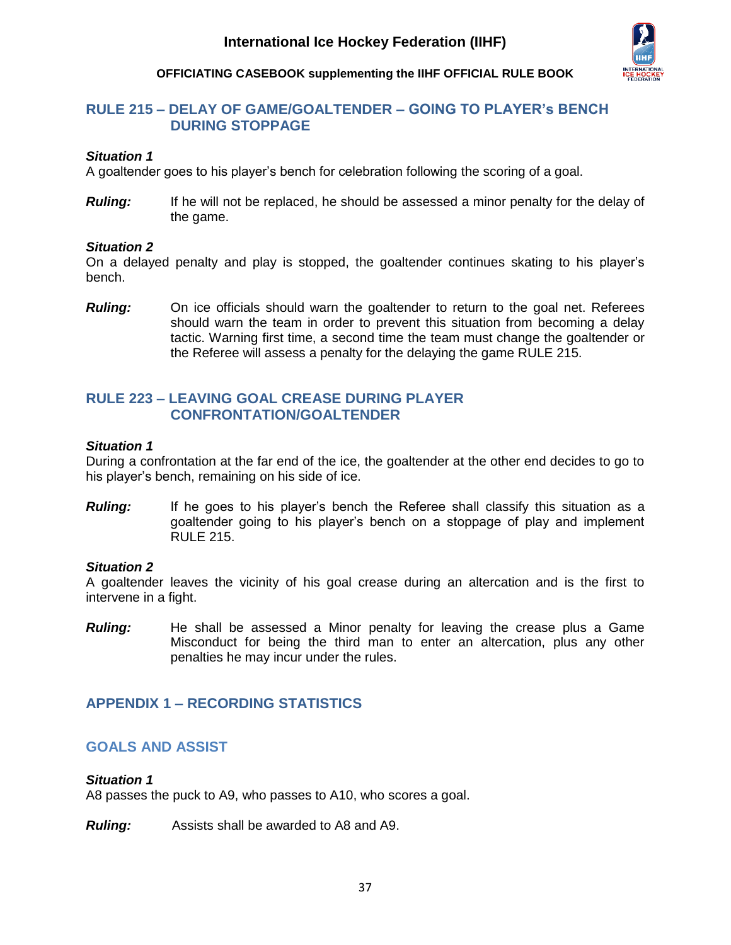

### <span id="page-37-0"></span>**RULE 215 – DELAY OF GAME/GOALTENDER – GOING TO PLAYER's BENCH DURING STOPPAGE**

### *Situation 1*

A goaltender goes to his player's bench for celebration following the scoring of a goal.

**Ruling:** If he will not be replaced, he should be assessed a minor penalty for the delay of the game.

### *Situation 2*

On a delayed penalty and play is stopped, the goaltender continues skating to his player's bench.

*Ruling:* On ice officials should warn the goaltender to return to the goal net. Referees should warn the team in order to prevent this situation from becoming a delay tactic. Warning first time, a second time the team must change the goaltender or the Referee will assess a penalty for the delaying the game RULE 215.

## <span id="page-37-1"></span>**RULE 223 – LEAVING GOAL CREASE DURING PLAYER CONFRONTATION/GOALTENDER**

### *Situation 1*

During a confrontation at the far end of the ice, the goaltender at the other end decides to go to his player's bench, remaining on his side of ice.

**Ruling:** If he goes to his player's bench the Referee shall classify this situation as a goaltender going to his player's bench on a stoppage of play and implement RULE 215.

### *Situation 2*

A goaltender leaves the vicinity of his goal crease during an altercation and is the first to intervene in a fight.

*Ruling:* He shall be assessed a Minor penalty for leaving the crease plus a Game Misconduct for being the third man to enter an altercation, plus any other penalties he may incur under the rules.

## <span id="page-37-2"></span>**APPENDIX 1 – RECORDING STATISTICS**

### <span id="page-37-3"></span>**GOALS AND ASSIST**

### *Situation 1*

A8 passes the puck to A9, who passes to A10, who scores a goal.

*Ruling:* Assists shall be awarded to A8 and A9.